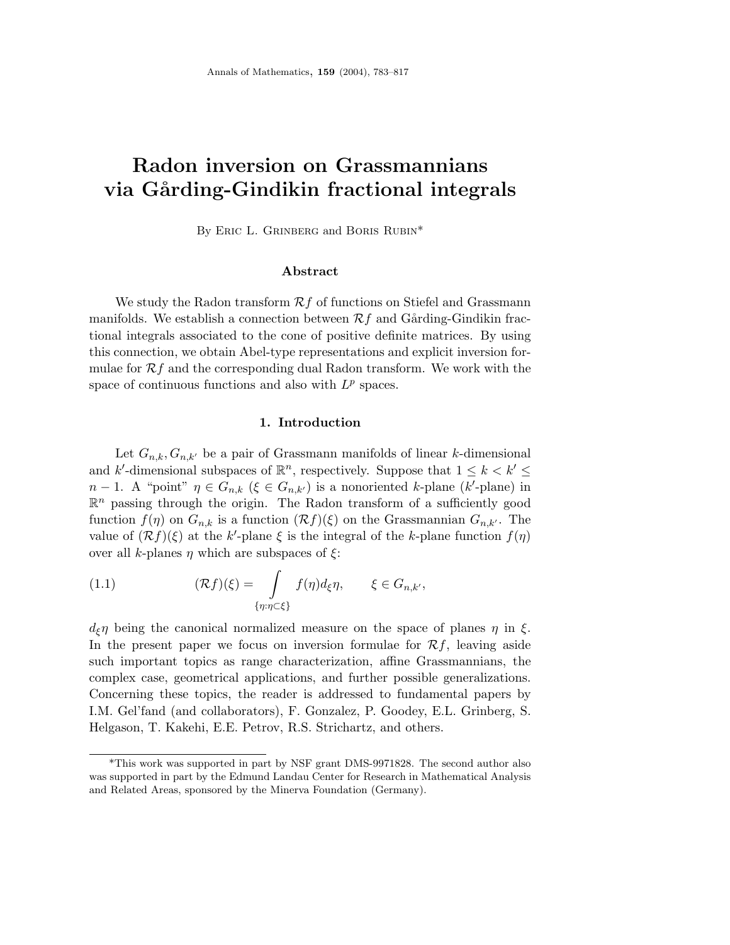# **Radon inversion on Grassmannians via G˚arding-Gindikin fractional integrals**

By ERIC L. GRINBERG and BORIS RUBIN\*

## **Abstract**

We study the Radon transform  $\mathcal{R}f$  of functions on Stiefel and Grassmann manifolds. We establish a connection between  $\mathcal{R}f$  and Gårding-Gindikin fractional integrals associated to the cone of positive definite matrices. By using this connection, we obtain Abel-type representations and explicit inversion formulae for  $\mathcal{R}f$  and the corresponding dual Radon transform. We work with the space of continuous functions and also with  $L^p$  spaces.

# **1. Introduction**

Let  $G_{n,k}, G_{n,k'}$  be a pair of Grassmann manifolds of linear *k*-dimensional and *k*'-dimensional subspaces of  $\mathbb{R}^n$ , respectively. Suppose that  $1 \leq k \leq k' \leq$ *n* − 1. A "point"  $\eta \in G_{n,k}$  ( $\xi \in G_{n,k'}$ ) is a nonoriented *k*-plane (*k*'-plane) in  $\mathbb{R}^n$  passing through the origin. The Radon transform of a sufficiently good function  $f(\eta)$  on  $G_{n,k}$  is a function  $(\mathcal{R}f)(\xi)$  on the Grassmannian  $G_{n,k'}$ . The value of  $(\mathcal{R}f)(\xi)$  at the *k*'-plane  $\xi$  is the integral of the *k*-plane function  $f(\eta)$ over all *k*-planes *η* which are subspaces of *ξ*:

(1.1) 
$$
(\mathcal{R}f)(\xi) = \int\limits_{\{\eta:\eta\subset\xi\}} f(\eta)d_{\xi}\eta, \qquad \xi \in G_{n,k'},
$$

*d*ξ*η* being the canonical normalized measure on the space of planes *η* in *ξ*. In the present paper we focus on inversion formulae for  $\mathcal{R}f$ , leaving aside such important topics as range characterization, affine Grassmannians, the complex case, geometrical applications, and further possible generalizations. Concerning these topics, the reader is addressed to fundamental papers by I.M. Gel'fand (and collaborators), F. Gonzalez, P. Goodey, E.L. Grinberg, S. Helgason, T. Kakehi, E.E. Petrov, R.S. Strichartz, and others.

<sup>\*</sup>This work was supported in part by NSF grant DMS-9971828. The second author also was supported in part by the Edmund Landau Center for Research in Mathematical Analysis and Related Areas, sponsored by the Minerva Foundation (Germany).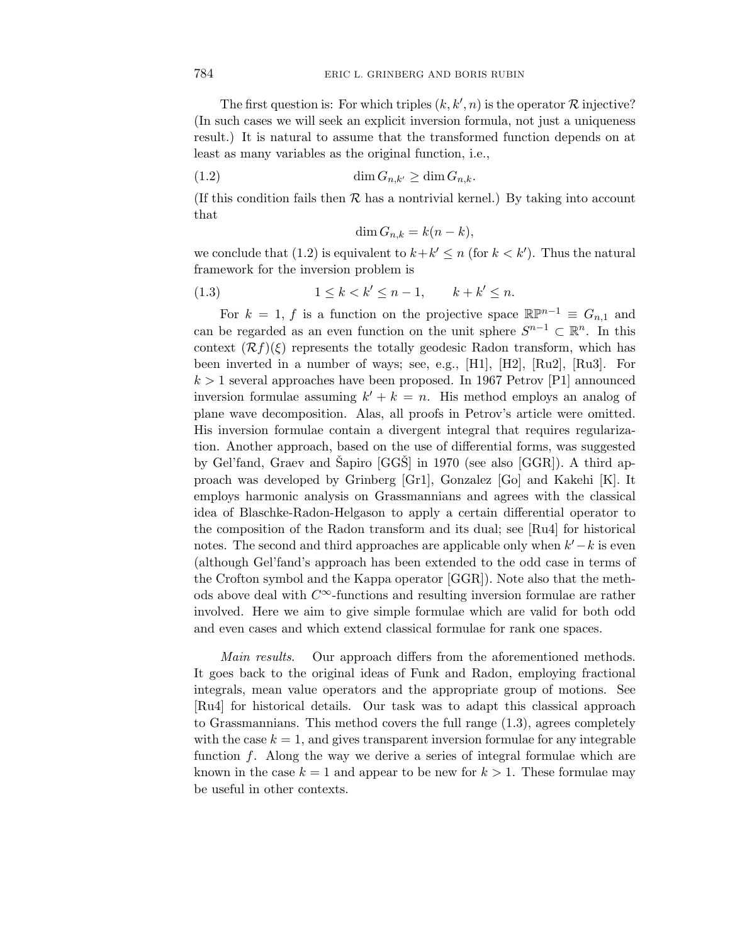The first question is: For which triples  $(k, k', n)$  is the operator  $R$  injective? (In such cases we will seek an explicit inversion formula, not just a uniqueness result.) It is natural to assume that the transformed function depends on at least as many variables as the original function, i.e.,

$$
(1.2) \qquad \dim G_{n,k'} \ge \dim G_{n,k}.
$$

(If this condition fails then  $\mathcal R$  has a nontrivial kernel.) By taking into account that

$$
\dim G_{n,k} = k(n-k),
$$

we conclude that (1.2) is equivalent to  $k + k' \leq n$  (for  $k < k'$ ). Thus the natural framework for the inversion problem is

$$
(1.3) \t\t\t 1 \le k < k' \le n-1, \t k + k' \le n.
$$

For  $k = 1$ , f is a function on the projective space  $\mathbb{R}P^{n-1} \equiv G_{n,1}$  and can be regarded as an even function on the unit sphere  $S^{n-1} \subset \mathbb{R}^n$ . In this context  $(\mathcal{R}f)(\xi)$  represents the totally geodesic Radon transform, which has been inverted in a number of ways; see, e.g., [H1], [H2], [Ru2], [Ru3]. For  $k > 1$  several approaches have been proposed. In 1967 Petrov [P1] announced inversion formulae assuming  $k' + k = n$ . His method employs an analog of plane wave decomposition. Alas, all proofs in Petrov's article were omitted. His inversion formulae contain a divergent integral that requires regularization. Another approach, based on the use of differential forms, was suggested by Gel'fand, Graev and Sapiro  $[GGS]$  in 1970 (see also  $[GGR]$ ). A third approach was developed by Grinberg [Gr1], Gonzalez [Go] and Kakehi [K]. It employs harmonic analysis on Grassmannians and agrees with the classical idea of Blaschke-Radon-Helgason to apply a certain differential operator to the composition of the Radon transform and its dual; see [Ru4] for historical notes. The second and third approaches are applicable only when *k* −*k* is even (although Gel'fand's approach has been extended to the odd case in terms of the Crofton symbol and the Kappa operator [GGR]). Note also that the methods above deal with *C*∞-functions and resulting inversion formulae are rather involved. Here we aim to give simple formulae which are valid for both odd and even cases and which extend classical formulae for rank one spaces.

Main results. Our approach differs from the aforementioned methods. It goes back to the original ideas of Funk and Radon, employing fractional integrals, mean value operators and the appropriate group of motions. See [Ru4] for historical details. Our task was to adapt this classical approach to Grassmannians. This method covers the full range (1.3), agrees completely with the case  $k = 1$ , and gives transparent inversion formulae for any integrable function *f*. Along the way we derive a series of integral formulae which are known in the case  $k = 1$  and appear to be new for  $k > 1$ . These formulae may be useful in other contexts.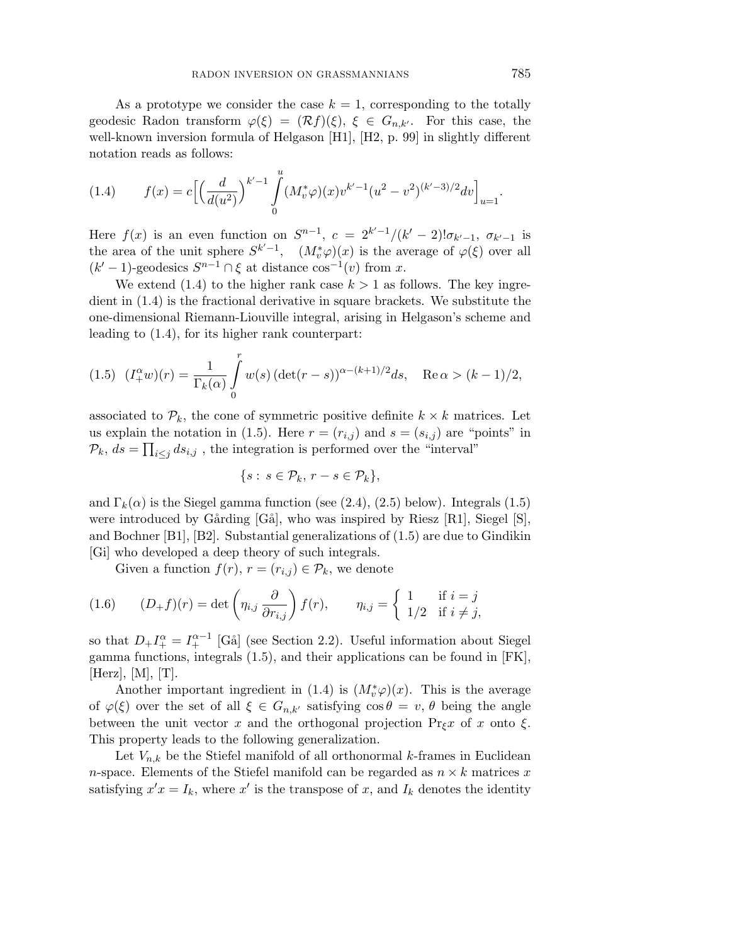As a prototype we consider the case  $k = 1$ , corresponding to the totally geodesic Radon transform  $\varphi(\xi)=(\mathcal{R}f)(\xi), \xi \in G_{n,k'}$ . For this case, the well-known inversion formula of Helgason [H1], [H2, p. 99] in slightly different notation reads as follows:

(1.4) 
$$
f(x) = c \left[ \left( \frac{d}{d(u^2)} \right)^{k'-1} \int_0^u (M_v^* \varphi)(x) v^{k'-1} (u^2 - v^2)^{(k'-3)/2} dv \right]_{u=1}.
$$

Here  $f(x)$  is an even function on  $S^{n-1}$ ,  $c = 2^{k'-1}/(k'-2)!\sigma_{k'-1}$ ,  $\sigma_{k'-1}$  is the area of the unit sphere  $S^{k'-1}$ ,  $(M_v^*\varphi)(x)$  is the average of  $\varphi(\xi)$  over all  $(k' - 1)$ -geodesics  $S^{n-1} \cap \xi$  at distance  $\cos^{-1}(v)$  from *x*.

We extend  $(1.4)$  to the higher rank case  $k > 1$  as follows. The key ingredient in (1.4) is the fractional derivative in square brackets. We substitute the one-dimensional Riemann-Liouville integral, arising in Helgason's scheme and leading to (1.4), for its higher rank counterpart:

(1.5) 
$$
(I_{+}^{\alpha}w)(r) = \frac{1}{\Gamma_{k}(\alpha)} \int_{0}^{r} w(s) (\det(r-s))^{\alpha - (k+1)/2} ds, \quad \text{Re}\,\alpha > (k-1)/2,
$$

associated to  $\mathcal{P}_k$ , the cone of symmetric positive definite  $k \times k$  matrices. Let us explain the notation in (1.5). Here  $r = (r_{i,j})$  and  $s = (s_{i,j})$  are "points" in  $\mathcal{P}_k$ ,  $ds = \prod_{i \leq j} ds_{i,j}$ , the integration is performed over the "interval"

$$
\{s: s \in \mathcal{P}_k, r - s \in \mathcal{P}_k\},\
$$

and  $\Gamma_k(\alpha)$  is the Siegel gamma function (see (2.4), (2.5) below). Integrals (1.5) were introduced by Gårding  $[G\ddot{\alpha}]$ , who was inspired by Riesz  $[R1]$ , Siegel  $[S]$ , and Bochner [B1], [B2]. Substantial generalizations of (1.5) are due to Gindikin [Gi] who developed a deep theory of such integrals.

Given a function  $f(r)$ ,  $r = (r_{i,j}) \in \mathcal{P}_k$ , we denote

(1.6) 
$$
(D_{+}f)(r) = \det \left(\eta_{i,j} \frac{\partial}{\partial r_{i,j}}\right) f(r), \qquad \eta_{i,j} = \begin{cases} 1 & \text{if } i = j \\ 1/2 & \text{if } i \neq j, \end{cases}
$$

so that  $D_+ I^{\alpha}_+ = I^{ \alpha -1}_+$  [Gå] (see Section 2.2). Useful information about Siegel gamma functions, integrals (1.5), and their applications can be found in [FK],  $|Herz|, |M|, |T|.$ 

Another important ingredient in (1.4) is  $(M_v^*\varphi)(x)$ . This is the average of  $\varphi(\xi)$  over the set of all  $\xi \in G_{n,k'}$  satisfying  $\cos \theta = v, \theta$  being the angle between the unit vector x and the orthogonal projection  $\Pr_{\xi} x$  of x onto  $\xi$ . This property leads to the following generalization.

Let  $V_{n,k}$  be the Stiefel manifold of all orthonormal *k*-frames in Euclidean *n*-space. Elements of the Stiefel manifold can be regarded as  $n \times k$  matrices x satisfying  $x'x = I_k$ , where  $x'$  is the transpose of  $x$ , and  $I_k$  denotes the identity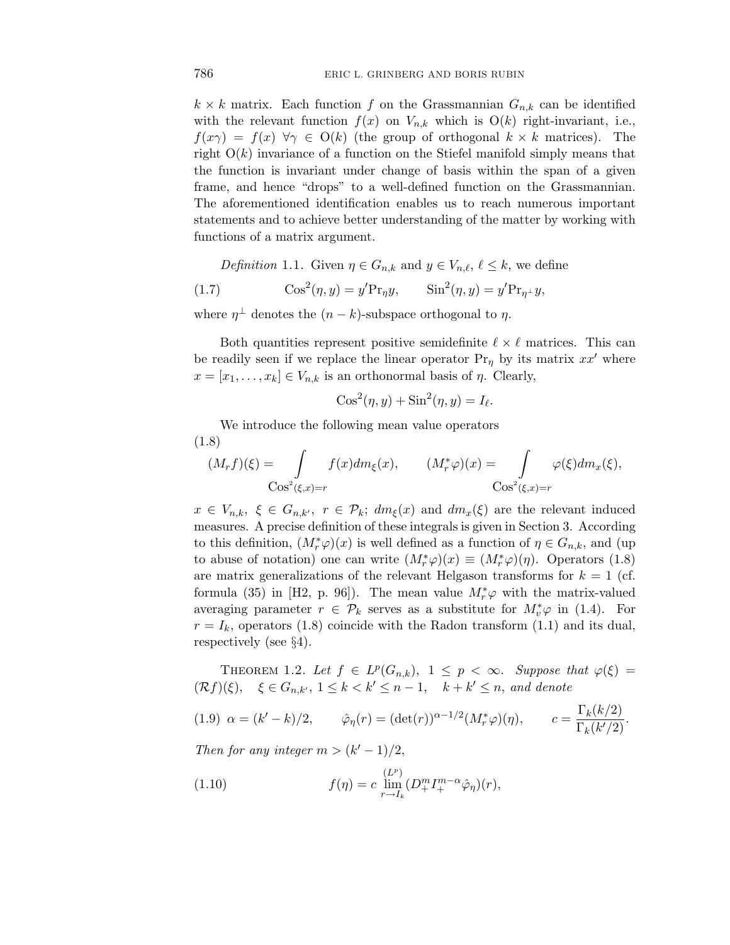$k \times k$  matrix. Each function *f* on the Grassmannian  $G_{n,k}$  can be identified with the relevant function  $f(x)$  on  $V_{n,k}$  which is  $O(k)$  right-invariant, i.e.,  $f(x\gamma) = f(x)$   $\forall \gamma \in O(k)$  (the group of orthogonal  $k \times k$  matrices). The right O(*k*) invariance of a function on the Stiefel manifold simply means that the function is invariant under change of basis within the span of a given frame, and hence "drops" to a well-defined function on the Grassmannian. The aforementioned identification enables us to reach numerous important statements and to achieve better understanding of the matter by working with functions of a matrix argument.

Definition 1.1. Given  $\eta \in G_{n,k}$  and  $y \in V_{n,\ell}, \ell \leq k$ , we define

(1.7) 
$$
\cos^2(\eta, y) = y' \text{Pr}_{\eta} y, \qquad \sin^2(\eta, y) = y' \text{Pr}_{\eta^{\perp}} y,
$$

where  $\eta^{\perp}$  denotes the  $(n-k)$ -subspace orthogonal to  $\eta$ .

Both quantities represent positive semidefinite  $\ell \times \ell$  matrices. This can be readily seen if we replace the linear operator  $Pr_{\eta}$  by its matrix  $xx'$  where  $x = [x_1, \ldots, x_k] \in V_{n,k}$  is an orthonormal basis of *η*. Clearly,

$$
Cos2(\eta, y) + Sin2(\eta, y) = I_{\ell}.
$$

We introduce the following mean value operators (1.8)

$$
(M_r f)(\xi) = \int_{\cos^2(\xi, x) = r} f(x) dm_{\xi}(x), \qquad (M^*_{r} \varphi)(x) = \int_{\cos^2(\xi, x) = r} \varphi(\xi) dm_x(\xi),
$$

 $x \in V_{n,k}, \xi \in G_{n,k'}, r \in \mathcal{P}_k; dm_{\xi}(x)$  and  $dm_x(\xi)$  are the relevant induced measures. A precise definition of these integrals is given in Section 3. According to this definition,  $(M_r^*\varphi)(x)$  is well defined as a function of  $\eta \in G_{n,k}$ , and (up to abuse of notation) one can write  $(M^*_{r}\varphi)(x) \equiv (M^*_{r}\varphi)(\eta)$ . Operators (1.8) are matrix generalizations of the relevant Helgason transforms for  $k = 1$  (cf. formula (35) in [H2, p. 96]). The mean value  $M_r^* \varphi$  with the matrix-valued averaging parameter  $r \in \mathcal{P}_k$  serves as a substitute for  $M_v^* \varphi$  in (1.4). For  $r = I_k$ , operators (1.8) coincide with the Radon transform (1.1) and its dual, respectively (see §4).

THEOREM 1.2. Let  $f \in L^p(G_{n,k}), 1 \leq p < \infty$ . Suppose that  $\varphi(\xi) =$  $(\mathcal{R}f)(\xi)$ ,  $\xi \in G_{n,k'}$ ,  $1 \leq k < k' \leq n-1$ ,  $k+k' \leq n$ , and denote

(1.9) 
$$
\alpha = (k' - k)/2
$$
,  $\hat{\varphi}_{\eta}(r) = (\det(r))^{\alpha - 1/2} (M_r^* \varphi)(\eta)$ ,  $c = \frac{\Gamma_k(k/2)}{\Gamma_k(k'/2)}$ .

Then for any integer  $m > (k' - 1)/2$ ,

(1.10) 
$$
f(\eta) = c \lim_{r \to I_k} \left( D_+^m I_+^{m-\alpha} \hat{\varphi}_{\eta} \right)(r),
$$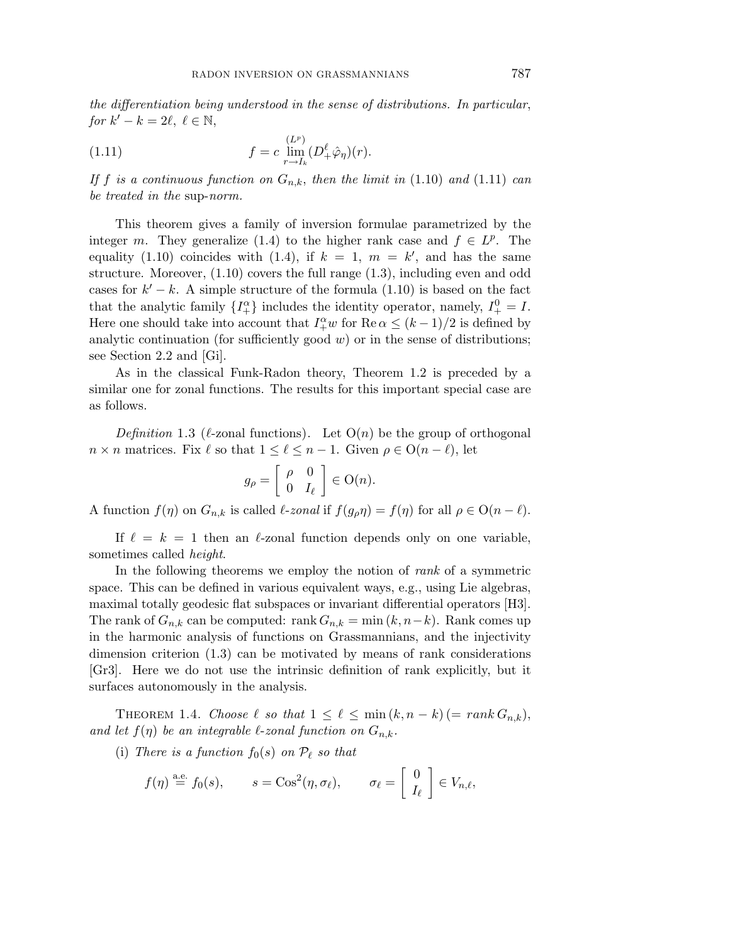the differentiation being understood in the sense of distributions. In particular, *for*  $k' - k = 2\ell, \ell \in \mathbb{N}$ ,

(1.11) 
$$
f = c \lim_{r \to I_k} (D_+^{\ell} \hat{\varphi}_{\eta})(r).
$$

If f is a continuous function on  $G_{n,k}$ , then the limit in (1.10) and (1.11) can be treated in the sup-norm.

This theorem gives a family of inversion formulae parametrized by the integer *m*. They generalize (1.4) to the higher rank case and  $f \in L^p$ . The equality (1.10) coincides with (1.4), if  $k = 1$ ,  $m = k'$ , and has the same structure. Moreover,  $(1.10)$  covers the full range  $(1.3)$ , including even and odd cases for  $k' - k$ . A simple structure of the formula (1.10) is based on the fact that the analytic family  $\{I_+^{\alpha}\}\$ includes the identity operator, namely,  $I_+^0 = I$ . Here one should take into account that  $I_+^{\alpha}w$  for  $\text{Re }\alpha \leq (k-1)/2$  is defined by analytic continuation (for sufficiently good  $w$ ) or in the sense of distributions; see Section 2.2 and [Gi].

As in the classical Funk-Radon theory, Theorem 1.2 is preceded by a similar one for zonal functions. The results for this important special case are as follows.

Definition 1.3 ( $\ell$ -zonal functions). Let  $O(n)$  be the group of orthogonal  $n \times n$  matrices. Fix  $\ell$  so that  $1 \leq \ell \leq n-1$ . Given  $\rho \in O(n-\ell)$ , let

$$
g_{\rho} = \left[ \begin{array}{cc} \rho & 0 \\ 0 & I_{\ell} \end{array} \right] \in \mathcal{O}(n).
$$

A function  $f(\eta)$  on  $G_{n,k}$  is called  $\ell$ -zonal if  $f(g_{\rho}\eta) = f(\eta)$  for all  $\rho \in O(n - \ell)$ .

If  $\ell = k = 1$  then an  $\ell$ -zonal function depends only on one variable, sometimes called height.

In the following theorems we employ the notion of *rank* of a symmetric space. This can be defined in various equivalent ways, e.g., using Lie algebras, maximal totally geodesic flat subspaces or invariant differential operators [H3]. The rank of  $G_{n,k}$  can be computed: rank  $G_{n,k} = \min(k, n-k)$ . Rank comes up in the harmonic analysis of functions on Grassmannians, and the injectivity dimension criterion (1.3) can be motivated by means of rank considerations [Gr3]. Here we do not use the intrinsic definition of rank explicitly, but it surfaces autonomously in the analysis.

THEOREM 1.4. Choose  $\ell$  so that  $1 \leq \ell \leq \min(k, n-k)$  (=  $rank G_{n,k}$ ), and let  $f(\eta)$  be an integrable  $\ell$ -zonal function on  $G_{n,k}$ .

(i) There is a function  $f_0(s)$  on  $\mathcal{P}_{\ell}$  so that

$$
f(\eta) \stackrel{\text{a.e.}}{=} f_0(s), \qquad s = \cos^2(\eta, \sigma_\ell), \qquad \sigma_\ell = \begin{bmatrix} 0 \\ I_\ell \end{bmatrix} \in V_{n,\ell},
$$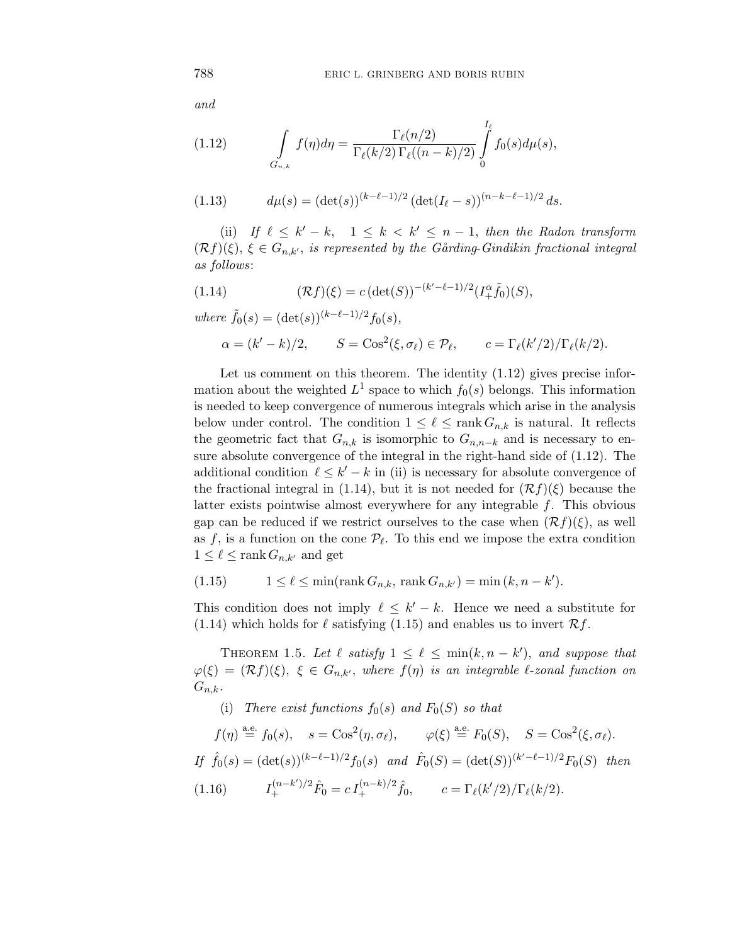and

(1.12) 
$$
\int_{G_{n,k}} f(\eta) d\eta = \frac{\Gamma_{\ell}(n/2)}{\Gamma_{\ell}(k/2) \Gamma_{\ell}((n-k)/2)} \int_{0}^{I_{\ell}} f_0(s) d\mu(s),
$$

(1.13) 
$$
d\mu(s) = (\det(s))^{(k-\ell-1)/2} (\det(I_{\ell}-s))^{(n-k-\ell-1)/2} ds.
$$

(ii) If  $\ell \leq k' - k$ ,  $1 \leq k < k' \leq n - 1$ , then the Radon transform  $(\mathcal{R}f)(\xi)$ ,  $\xi \in G_{n,k'}$ , is represented by the Gårding-Gindikin fractional integral as follows:

(1.14) 
$$
(\mathcal{R}f)(\xi) = c \left( \det(S) \right)^{-(k'-\ell-1)/2} (I_+^{\alpha} \tilde{f}_0)(S),
$$

 $where \tilde{f}_0(s) = (\det(s))^{(k-\ell-1)/2} f_0(s),$ 

$$
\alpha = (k'-k)/2, \qquad S = \cos^2(\xi, \sigma_\ell) \in \mathcal{P}_\ell, \qquad c = \Gamma_\ell(k'/2)/\Gamma_\ell(k/2).
$$

Let us comment on this theorem. The identity  $(1.12)$  gives precise information about the weighted  $L^1$  space to which  $f_0(s)$  belongs. This information is needed to keep convergence of numerous integrals which arise in the analysis below under control. The condition  $1 \leq \ell \leq \text{rank } G_{n,k}$  is natural. It reflects the geometric fact that  $G_{n,k}$  is isomorphic to  $G_{n,n-k}$  and is necessary to ensure absolute convergence of the integral in the right-hand side of (1.12). The additional condition  $\ell \leq k' - k$  in (ii) is necessary for absolute convergence of the fractional integral in (1.14), but it is not needed for  $(\mathcal{R}f)(\xi)$  because the latter exists pointwise almost everywhere for any integrable *f*. This obvious gap can be reduced if we restrict ourselves to the case when  $(\mathcal{R}f)(\xi)$ , as well as  $f$ , is a function on the cone  $\mathcal{P}_{\ell}$ . To this end we impose the extra condition  $1 \leq \ell \leq \text{rank } G_{n,k'}$  and get

(1.15) 
$$
1 \leq \ell \leq \min(\text{rank } G_{n,k}, \text{ rank } G_{n,k'}) = \min(k, n - k').
$$

This condition does not imply  $\ell \leq k' - k$ . Hence we need a substitute for (1.14) which holds for  $\ell$  satisfying (1.15) and enables us to invert  $\mathcal{R}f$ .

THEOREM 1.5. Let  $\ell$  satisfy  $1 \leq \ell \leq \min(k, n - k')$ , and suppose that  $\varphi(\xi)=(\mathcal{R}f)(\xi), \xi \in G_{n,k'},$  where  $f(\eta)$  is an integrable  $\ell$ -zonal function on  $G_{n,k}$ .

(i) There exist functions  $f_0(s)$  and  $F_0(S)$  so that

 $f(\eta) \stackrel{\text{a.e.}}{=} f_0(s), \quad s = \cos^2(\eta, \sigma_\ell), \qquad \varphi(\xi) \stackrel{\text{a.e.}}{=} F_0(S), \quad S = \cos^2(\xi, \sigma_\ell).$ 

If 
$$
\hat{f}_0(s) = (\det(s))^{(k-\ell-1)/2} f_0(s)
$$
 and  $\hat{F}_0(S) = (\det(S))^{(k'-\ell-1)/2} F_0(S)$  then

 $(1.16)$  $\hat{F}_0 = c I_+^{(n-k)/2} \hat{f}_0, \qquad c = \Gamma_\ell(k'/2) / \Gamma_\ell(k/2).$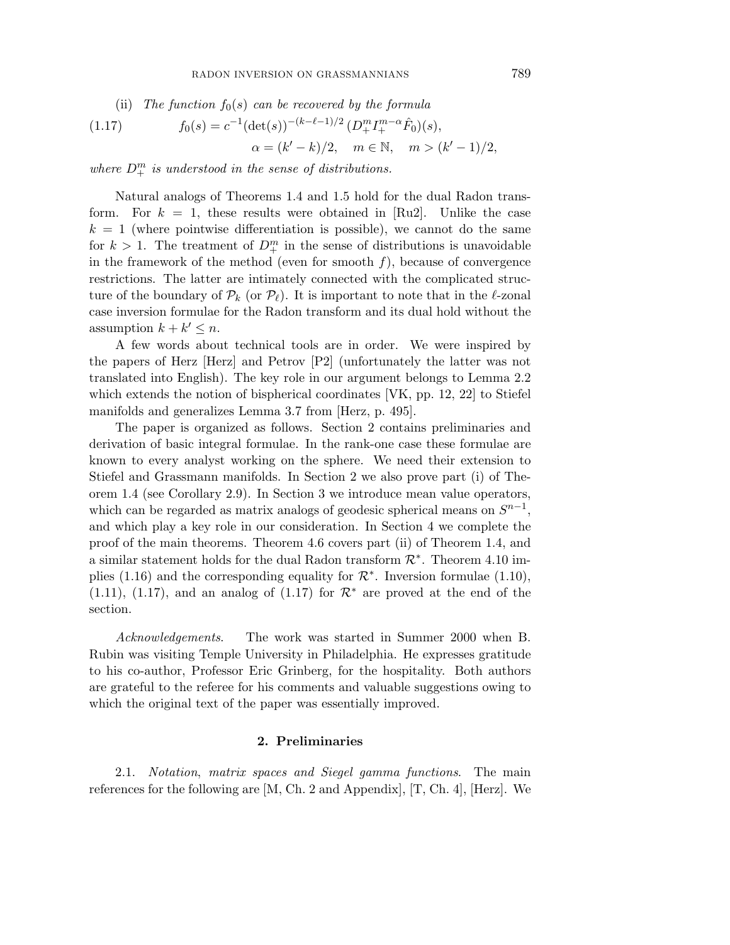(ii) The function 
$$
f_0(s)
$$
 can be recovered by the formula

(1.17) 
$$
f_0(s) = c^{-1} (\det(s))^{-(k-\ell-1)/2} (D_+^m I_+^{m-\alpha} \hat{F}_0)(s),
$$

$$
\alpha = (k'-k)/2, \quad m \in \mathbb{N}, \quad m > (k'-1)/2,
$$

where  $D_+^m$  is understood in the sense of distributions.

Natural analogs of Theorems 1.4 and 1.5 hold for the dual Radon transform. For  $k = 1$ , these results were obtained in [Ru2]. Unlike the case  $k = 1$  (where pointwise differentiation is possible), we cannot do the same for  $k > 1$ . The treatment of  $D^m_+$  in the sense of distributions is unavoidable in the framework of the method (even for smooth  $f$ ), because of convergence restrictions. The latter are intimately connected with the complicated structure of the boundary of  $\mathcal{P}_k$  (or  $\mathcal{P}_\ell$ ). It is important to note that in the  $\ell$ -zonal case inversion formulae for the Radon transform and its dual hold without the assumption  $k + k' \leq n$ .

A few words about technical tools are in order. We were inspired by the papers of Herz [Herz] and Petrov [P2] (unfortunately the latter was not translated into English). The key role in our argument belongs to Lemma 2.2 which extends the notion of bispherical coordinates [VK, pp. 12, 22] to Stiefel manifolds and generalizes Lemma 3.7 from [Herz, p. 495].

The paper is organized as follows. Section 2 contains preliminaries and derivation of basic integral formulae. In the rank-one case these formulae are known to every analyst working on the sphere. We need their extension to Stiefel and Grassmann manifolds. In Section 2 we also prove part (i) of Theorem 1.4 (see Corollary 2.9). In Section 3 we introduce mean value operators, which can be regarded as matrix analogs of geodesic spherical means on  $S^{n-1}$ , and which play a key role in our consideration. In Section 4 we complete the proof of the main theorems. Theorem 4.6 covers part (ii) of Theorem 1.4, and a similar statement holds for the dual Radon transform  $\mathcal{R}^*$ . Theorem 4.10 implies (1.16) and the corresponding equality for  $\mathcal{R}^*$ . Inversion formulae (1.10), (1.11), (1.17), and an analog of (1.17) for  $\mathcal{R}^*$  are proved at the end of the section.

Acknowledgements. The work was started in Summer 2000 when B. Rubin was visiting Temple University in Philadelphia. He expresses gratitude to his co-author, Professor Eric Grinberg, for the hospitality. Both authors are grateful to the referee for his comments and valuable suggestions owing to which the original text of the paper was essentially improved.

# **2. Preliminaries**

2.1. Notation, matrix spaces and Siegel gamma functions. The main references for the following are [M, Ch. 2 and Appendix], [T, Ch. 4], [Herz]. We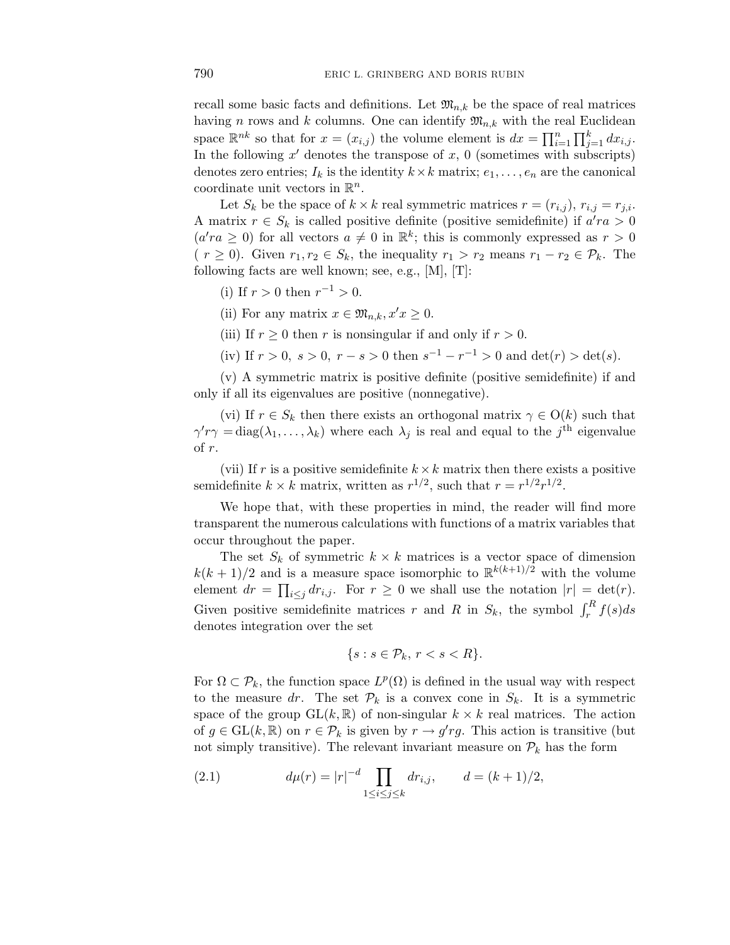recall some basic facts and definitions. Let  $\mathfrak{M}_{n,k}$  be the space of real matrices having *n* rows and *k* columns. One can identify  $\mathfrak{M}_{n,k}$  with the real Euclidean space  $\mathbb{R}^{nk}$  so that for  $x = (x_{i,j})$  the volume element is  $dx = \prod_{i=1}^{n} \prod_{j=1}^{k} dx_{i,j}$ . In the following  $x'$  denotes the transpose of  $x$ , 0 (sometimes with subscripts) denotes zero entries;  $I_k$  is the identity  $k \times k$  matrix;  $e_1, \ldots, e_n$  are the canonical coordinate unit vectors in  $\mathbb{R}^n$ .

Let  $S_k$  be the space of  $k \times k$  real symmetric matrices  $r = (r_{i,j})$ ,  $r_{i,j} = r_{j,i}$ . A matrix  $r \in S_k$  is called positive definite (positive semidefinite) if  $a'ra > 0$  $(a'ra \geq 0)$  for all vectors  $a \neq 0$  in  $\mathbb{R}^k$ ; this is commonly expressed as  $r > 0$  $(r \geq 0)$ . Given  $r_1, r_2 \in S_k$ , the inequality  $r_1 > r_2$  means  $r_1 - r_2 \in \mathcal{P}_k$ . The following facts are well known; see, e.g.,  $[M], [T]$ :

- (i) If  $r > 0$  then  $r^{-1} > 0$ .
- (ii) For any matrix  $x \in \mathfrak{M}_{n,k}$ ,  $x'x \geq 0$ .
- (iii) If  $r \geq 0$  then *r* is nonsingular if and only if  $r > 0$ .
- (iv) If  $r > 0$ ,  $s > 0$ ,  $r s > 0$  then  $s^{-1} r^{-1} > 0$  and  $det(r) > det(s)$ .

(v) A symmetric matrix is positive definite (positive semidefinite) if and only if all its eigenvalues are positive (nonnegative).

(vi) If  $r \in S_k$  then there exists an orthogonal matrix  $\gamma \in O(k)$  such that  $\gamma' r \gamma = \text{diag}(\lambda_1, \ldots, \lambda_k)$  where each  $\lambda_j$  is real and equal to the *j*<sup>th</sup> eigenvalue of *r*.

(vii) If r is a positive semidefinite  $k \times k$  matrix then there exists a positive semidefinite  $k \times k$  matrix, written as  $r^{1/2}$ , such that  $r = r^{1/2}r^{1/2}$ .

We hope that, with these properties in mind, the reader will find more transparent the numerous calculations with functions of a matrix variables that occur throughout the paper.

The set  $S_k$  of symmetric  $k \times k$  matrices is a vector space of dimension  $k(k+1)/2$  and is a measure space isomorphic to  $\mathbb{R}^{k(k+1)/2}$  with the volume element  $dr = \prod_{i \leq j} dr_{i,j}$ . For  $r \geq 0$  we shall use the notation  $|r| = \det(r)$ . Given positive semidefinite matrices *r* and *R* in  $S_k$ , the symbol  $\int_r^R f(s)ds$ denotes integration over the set

$$
\{s : s \in \mathcal{P}_k, r < s < R\}.
$$

For  $\Omega \subset \mathcal{P}_k$ , the function space  $L^p(\Omega)$  is defined in the usual way with respect to the measure dr. The set  $\mathcal{P}_k$  is a convex cone in  $S_k$ . It is a symmetric space of the group  $GL(k, \mathbb{R})$  of non-singular  $k \times k$  real matrices. The action of  $g \in GL(k, \mathbb{R})$  on  $r \in \mathcal{P}_k$  is given by  $r \to g' r g$ . This action is transitive (but not simply transitive). The relevant invariant measure on  $\mathcal{P}_k$  has the form

(2.1) 
$$
d\mu(r) = |r|^{-d} \prod_{1 \le i \le j \le k} dr_{i,j}, \qquad d = (k+1)/2,
$$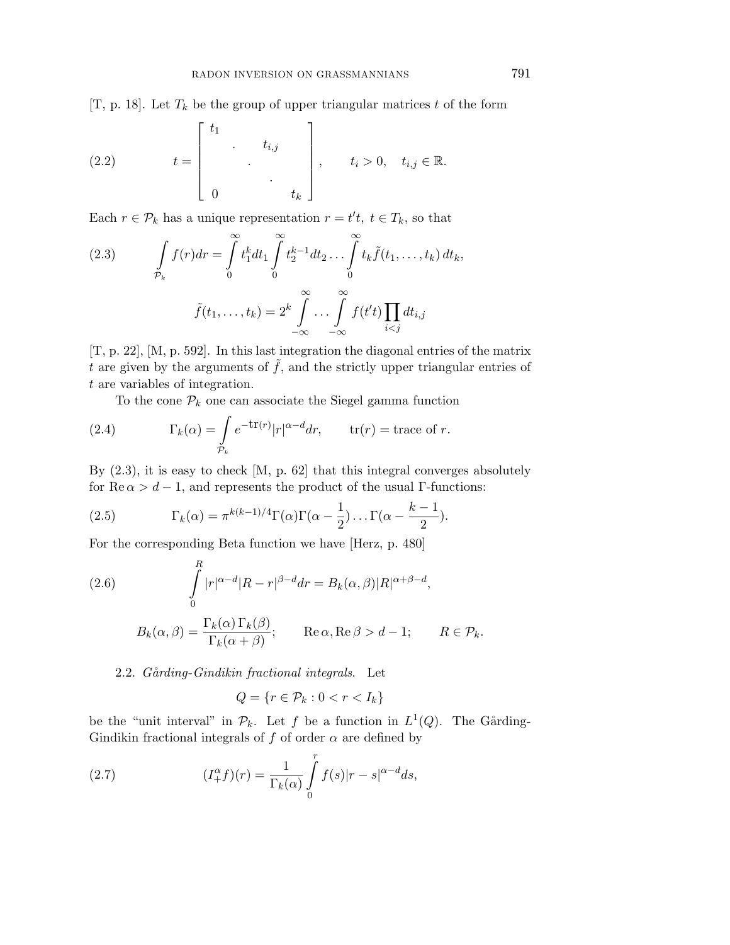[T, p. 18]. Let  $T_k$  be the group of upper triangular matrices  $t$  of the form

(2.2) 
$$
t = \begin{bmatrix} t_1 & & & \\ & \ddots & & \\ & & \ddots & \\ 0 & & & t_k \end{bmatrix}, \quad t_i > 0, \quad t_{i,j} \in \mathbb{R}.
$$

Each  $r \in \mathcal{P}_k$  has a unique representation  $r = t't$ ,  $t \in T_k$ , so that

(2.3) 
$$
\int_{\mathcal{P}_k} f(r) dr = \int_0^{\infty} t_1^k dt_1 \int_0^{\infty} t_2^{k-1} dt_2 \dots \int_0^{\infty} t_k \tilde{f}(t_1, \dots, t_k) dt_k,
$$

$$
\tilde{f}(t_1, \dots, t_k) = 2^k \int_{-\infty}^{\infty} \dots \int_{-\infty}^{\infty} f(t') \prod_{i < j} dt_{i,j}
$$

[T, p. 22], [M, p. 592]. In this last integration the diagonal entries of the matrix *t* are given by the arguments of  $\tilde{f}$ , and the strictly upper triangular entries of *t* are variables of integration.

To the cone  $\mathcal{P}_k$  one can associate the Siegel gamma function

(2.4) 
$$
\Gamma_k(\alpha) = \int_{\mathcal{P}_k} e^{-\text{tr}(r)} |r|^{\alpha - d} dr, \qquad \text{tr}(r) = \text{trace of } r.
$$

By (2.3), it is easy to check [M, p. 62] that this integral converges absolutely for  $\text{Re } \alpha > d - 1$ , and represents the product of the usual  $\Gamma$ -functions:

(2.5) 
$$
\Gamma_k(\alpha) = \pi^{k(k-1)/4} \Gamma(\alpha) \Gamma(\alpha - \frac{1}{2}) \dots \Gamma(\alpha - \frac{k-1}{2}).
$$

For the corresponding Beta function we have [Herz, p. 480]

(2.6)  
\n
$$
\int_{0}^{R} |r|^{\alpha-d} |R - r|^{\beta-d} dr = B_k(\alpha, \beta) |R|^{\alpha+\beta-d},
$$
\n
$$
B_k(\alpha, \beta) = \frac{\Gamma_k(\alpha) \Gamma_k(\beta)}{\Gamma_k(\alpha+\beta)}; \qquad \text{Re }\alpha, \text{Re }\beta > d-1; \qquad R \in \mathcal{P}_k.
$$

2.2. Gårding-Gindikin fractional integrals. Let

$$
Q = \{r \in \mathcal{P}_k : 0 < r < I_k\}
$$

be the "unit interval" in  $\mathcal{P}_k$ . Let *f* be a function in  $L^1(Q)$ . The Gårding-Gindikin fractional integrals of  $f$  of order  $\alpha$  are defined by

(2.7) 
$$
(I_+^{\alpha}f)(r) = \frac{1}{\Gamma_k(\alpha)} \int_0^r f(s)|r-s|^{\alpha-d}ds,
$$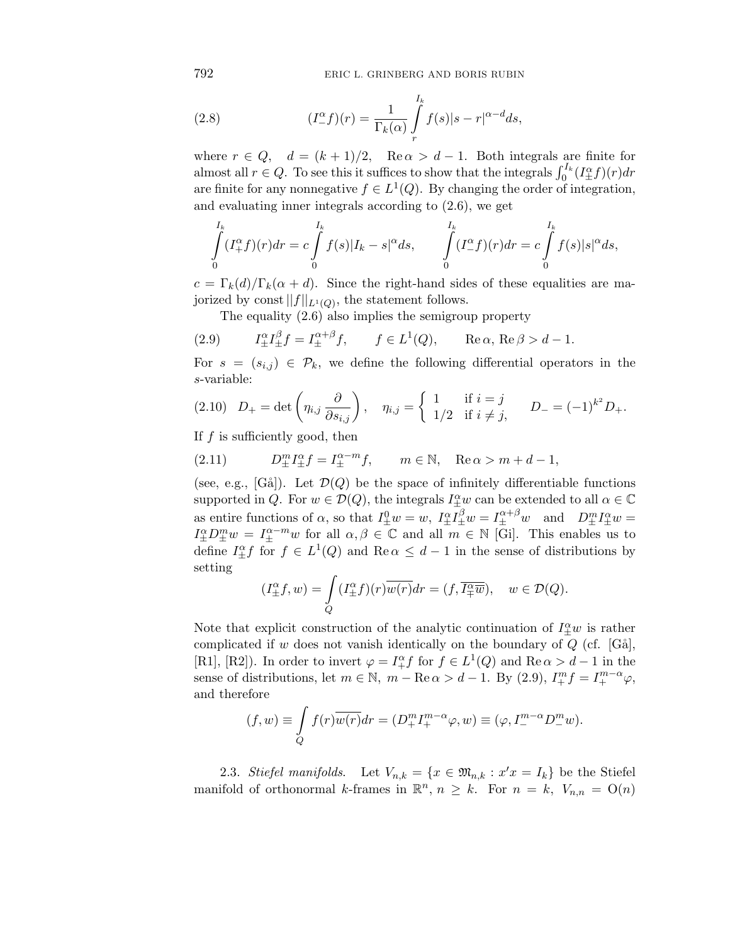792 ERIC L. GRINBERG AND BORIS RUBIN

(2.8) 
$$
(I_{-}^{\alpha}f)(r) = \frac{1}{\Gamma_k(\alpha)} \int\limits_r^{I_k} f(s)|s-r|^{\alpha-d}ds,
$$

where  $r \in Q$ ,  $d = (k+1)/2$ ,  $\text{Re}\,\alpha > d-1$ . Both integrals are finite for almost all  $r \in Q$ . To see this it suffices to show that the integrals  $\int_0^{I_k} (I_{\pm}^{\alpha} f)(r) dr$ are finite for any nonnegative  $f \in L^1(Q)$ . By changing the order of integration, and evaluating inner integrals according to (2.6), we get

$$
\int_{0}^{I_k} (I_+^{\alpha} f)(r) dr = c \int_{0}^{I_k} f(s) |I_k - s|^{\alpha} ds, \qquad \int_{0}^{I_k} (I_-^{\alpha} f)(r) dr = c \int_{0}^{I_k} f(s) |s|^{\alpha} ds,
$$

 $c = \Gamma_k(d)/\Gamma_k(\alpha + d)$ . Since the right-hand sides of these equalities are majorized by const  $||f||_{L^1(Q)}$ , the statement follows.

The equality (2.6) also implies the semigroup property

(2.9) 
$$
I_{\pm}^{\alpha}I_{\pm}^{\beta}f = I_{\pm}^{\alpha+\beta}f, \qquad f \in L^{1}(Q), \qquad \text{Re}\,\alpha, \text{Re}\,\beta > d-1.
$$

For  $s = (s_{i,j}) \in \mathcal{P}_k$ , we define the following differential operators in the *s*-variable:

$$
(2.10) \quad D_{+} = \det \left( \eta_{i,j} \frac{\partial}{\partial s_{i,j}} \right), \quad \eta_{i,j} = \begin{cases} 1 & \text{if } i = j \\ 1/2 & \text{if } i \neq j, \end{cases} \quad D_{-} = (-1)^{k^2} D_{+}.
$$

If *f* is sufficiently good, then

(2.11) 
$$
D_{\pm}^{m} I_{\pm}^{\alpha} f = I_{\pm}^{\alpha - m} f, \qquad m \in \mathbb{N}, \quad \text{Re } \alpha > m + d - 1,
$$

(see, e.g., [Gå]). Let  $\mathcal{D}(Q)$  be the space of infinitely differentiable functions supported in *Q*. For  $w \in \mathcal{D}(Q)$ , the integrals  $I^{\alpha}_{\pm}w$  can be extended to all  $\alpha \in \mathbb{C}$ as entire functions of  $\alpha$ , so that  $I_{\pm}^0 w = w$ ,  $I_{\pm}^{\alpha} I_{\pm}^{\beta} w = I_{\pm}^{\alpha+\beta} w$  and  $D_{\pm}^m I_{\pm}^{\alpha} w =$  $I^{\alpha}_{\pm}D^m_{\pm}w = I^{\alpha-m}_{\pm}w$  for all  $\alpha, \beta \in \mathbb{C}$  and all  $m \in \mathbb{N}$  [Gi]. This enables us to define  $I_{\pm}^{\alpha} f$  for  $f \in L^1(Q)$  and  $\text{Re } \alpha \leq d-1$  in the sense of distributions by setting

$$
(I^{\alpha}_{\pm}f,w)=\int\limits_{Q}(I^{\alpha}_{\pm}f)(r)\overline{w(r)}dr=(f,\overline{I^{\alpha}_{\mp}w}),\quad w\in\mathcal{D}(Q).
$$

Note that explicit construction of the analytic continuation of  $I_{\pm}^{\alpha}w$  is rather complicated if *w* does not vanish identically on the boundary of  $Q$  (cf. [G $\ddot{\text{a}}$ ], [R1], [R2]). In order to invert  $\varphi = I_+^{\alpha} f$  for  $f \in L^1(Q)$  and  $\text{Re}\,\alpha > d - 1$  in the sense of distributions, let  $m \in \mathbb{N}$ ,  $m - \text{Re}\,\alpha > d - 1$ . By (2.9),  $I_+^m f = I_+^{m-\alpha} \varphi$ , and therefore

$$
(f, w) \equiv \int_{Q} f(r) \overline{w(r)} dr = (D_{+}^{m} I_{+}^{m-\alpha} \varphi, w) \equiv (\varphi, I_{-}^{m-\alpha} D_{-}^{m} w).
$$

2.3. Stiefel manifolds. Let  $V_{n,k} = \{x \in \mathfrak{M}_{n,k} : x'x = I_k\}$  be the Stiefel manifold of orthonormal *k*-frames in  $\mathbb{R}^n$ ,  $n \geq k$ . For  $n = k$ ,  $V_{n,n} = O(n)$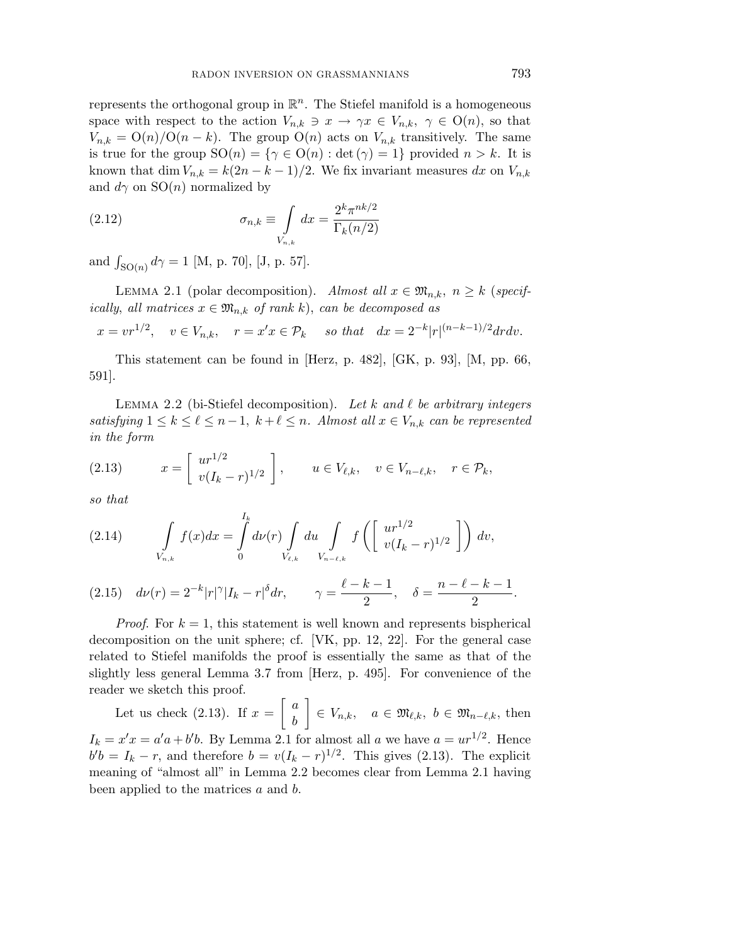represents the orthogonal group in  $\mathbb{R}^n$ . The Stiefel manifold is a homogeneous space with respect to the action  $V_{n,k} \ni x \to \gamma x \in V_{n,k}, \gamma \in O(n)$ , so that  $V_{n,k} = O(n)/O(n-k)$ . The group  $O(n)$  acts on  $V_{n,k}$  transitively. The same is true for the group  $SO(n) = \{ \gamma \in O(n) : \det(\gamma) = 1 \}$  provided  $n > k$ . It is known that dim  $V_{n,k} = k(2n - k - 1)/2$ . We fix invariant measures dx on  $V_{n,k}$ and  $d\gamma$  on  $SO(n)$  normalized by

(2.12) 
$$
\sigma_{n,k} \equiv \int\limits_{V_{n,k}} dx = \frac{2^k \pi^{nk/2}}{\Gamma_k(n/2)}
$$

and  $\int_{\text{SO}(n)} d\gamma = 1$  [M, p. 70], [J, p. 57].

LEMMA 2.1 (polar decomposition). Almost all  $x \in \mathfrak{M}_{n,k}$ ,  $n \geq k$  (specifically, all matrices  $x \in \mathfrak{M}_{n,k}$  of rank *k*), can be decomposed as

$$
x = v r^{1/2}
$$
,  $v \in V_{n,k}$ ,  $r = x'x \in \mathcal{P}_k$  so that  $dx = 2^{-k}|r|^{(n-k-1)/2} dr dv$ .

This statement can be found in [Herz, p. 482], [GK, p. 93], [M, pp. 66, 591].

LEMMA 2.2 (bi-Stiefel decomposition). Let  $k$  and  $\ell$  be arbitrary integers satisfying  $1 \leq k \leq \ell \leq n-1$ ,  $k+\ell \leq n$ . Almost all  $x \in V_{n,k}$  can be represented in the form

(2.13) 
$$
x = \begin{bmatrix} ur^{1/2} \\ v(I_k - r)^{1/2} \end{bmatrix}, \quad u \in V_{\ell,k}, \quad v \in V_{n-\ell,k}, \quad r \in \mathcal{P}_k,
$$

so that

(2.14) 
$$
\int\limits_{V_{n,k}} f(x)dx = \int\limits_{0}^{I_k} d\nu(r) \int\limits_{V_{\ell,k}} du \int\limits_{V_{n-\ell,k}} f\left(\left[\begin{array}{c} ur^{1/2} \\ v(I_k-r)^{1/2} \end{array}\right]\right) dv,
$$

(2.15)  $d\nu(r) = 2^{-k}|r|^{\gamma}|I_k - r|^{\delta}dr, \qquad \gamma = \frac{\ell - k - 1}{2}, \quad \delta = \frac{n - \ell - k - 1}{2}.$ 

*Proof.* For  $k = 1$ , this statement is well known and represents bispherical decomposition on the unit sphere; cf. [VK, pp. 12, 22]. For the general case related to Stiefel manifolds the proof is essentially the same as that of the slightly less general Lemma 3.7 from [Herz, p. 495]. For convenience of the reader we sketch this proof.

Let us check  $(2.13)$ . If  $x =$  *a b* 1  $\in V_{n,k}$ ,  $a \in \mathfrak{M}_{\ell,k}$ ,  $b \in \mathfrak{M}_{n-\ell,k}$ , then  $I_k = x'x = a'a + b'b$ . By Lemma 2.1 for almost all *a* we have  $a = ur^{1/2}$ . Hence  $b'b = I_k - r$ , and therefore  $b = v(I_k - r)^{1/2}$ . This gives (2.13). The explicit meaning of "almost all" in Lemma 2.2 becomes clear from Lemma 2.1 having been applied to the matrices *a* and *b*.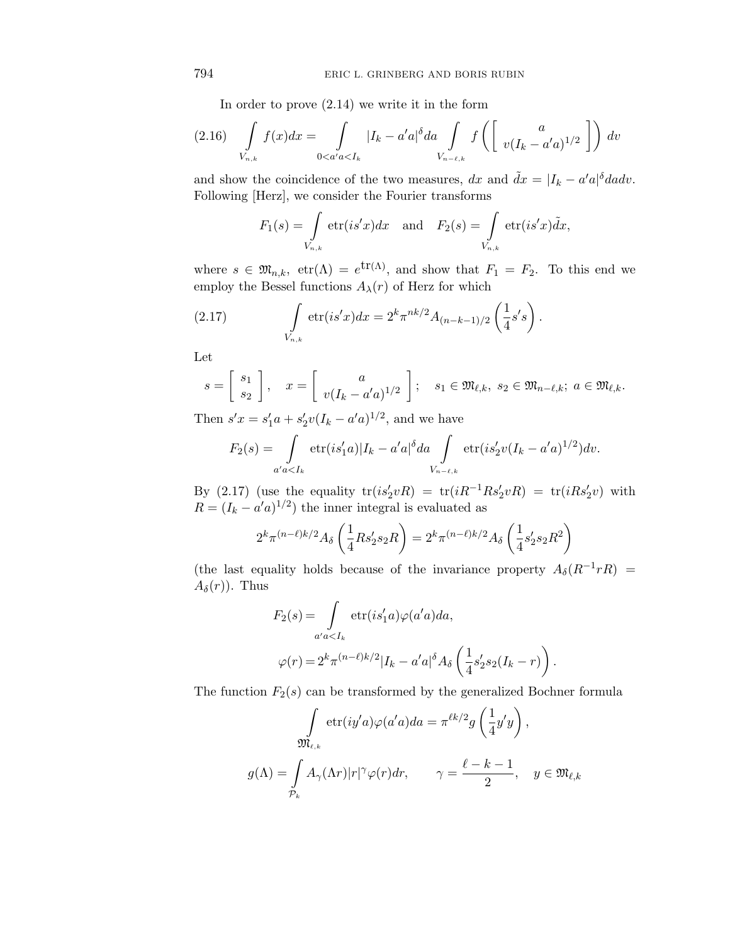In order to prove (2.14) we write it in the form

$$
(2.16)\quad \int\limits_{V_{n,k}} f(x)dx = \int\limits_{0
$$

and show the coincidence of the two measures,  $dx$  and  $\tilde{dx} = |I_k - a'a|^{\delta} da dv$ . Following [Herz], we consider the Fourier transforms

$$
F_1(s) = \int\limits_{V_{n,k}} \text{etr}(is'x) dx \text{ and } F_2(s) = \int\limits_{V_{n,k}} \text{etr}(is'x) dx,
$$

where  $s \in \mathfrak{M}_{n,k}$ ,  $\text{etr}(\Lambda) = e^{\text{tr}(\Lambda)}$ , and show that  $F_1 = F_2$ . To this end we employ the Bessel functions  $A_{\lambda}(r)$  of Herz for which

(2.17) 
$$
\int_{V_{n,k}} \text{etr}(is'x) dx = 2^k \pi^{nk/2} A_{(n-k-1)/2} \left(\frac{1}{4} s' s\right).
$$

Let

$$
s = \begin{bmatrix} s_1 \\ s_2 \end{bmatrix}, \quad x = \begin{bmatrix} a \\ v(I_k - a'a)^{1/2} \end{bmatrix}; \quad s_1 \in \mathfrak{M}_{\ell,k}, \ s_2 \in \mathfrak{M}_{n-\ell,k}; \ a \in \mathfrak{M}_{\ell,k}.
$$

Then  $s'x = s'_1a + s'_2v(I_k - a'a)^{1/2}$ , and we have

$$
F_2(s) = \int_{a'a
$$

By (2.17) (use the equality  $tr(is_2'vR) = tr(iR^{-1}Rs_2'vR) = tr(iRs_2'v)$  with  $R = (I_k - a'a)^{1/2}$  the inner integral is evaluated as

$$
2^k \pi^{(n-\ell)k/2} A_{\delta} \left( \frac{1}{4} R s_2' s_2 R \right) = 2^k \pi^{(n-\ell)k/2} A_{\delta} \left( \frac{1}{4} s_2' s_2 R^2 \right)
$$

(the last equality holds because of the invariance property  $A_{\delta}(R^{-1}rR)$  =  $A_\delta(r)$ ). Thus

$$
F_2(s) = \int_{a'a  

$$
\varphi(r) = 2^k \pi^{(n-\ell)k/2} |I_k - a'a|^{\delta} A_{\delta} \left(\frac{1}{4}s'_2 s_2(I_k - r)\right).
$$
$$

The function  $F_2(s)$  can be transformed by the generalized Bochner formula

$$
\int_{\mathfrak{M}_{\ell,k}} \text{etr}(iy'a)\varphi(a'a)da = \pi^{\ell k/2}g\left(\frac{1}{4}y'y\right),
$$

$$
g(\Lambda) = \int_{\mathcal{P}_k} A_{\gamma}(\Lambda r)|r|^{\gamma}\varphi(r)dr, \qquad \gamma = \frac{\ell - k - 1}{2}, \quad y \in \mathfrak{M}_{\ell,k}
$$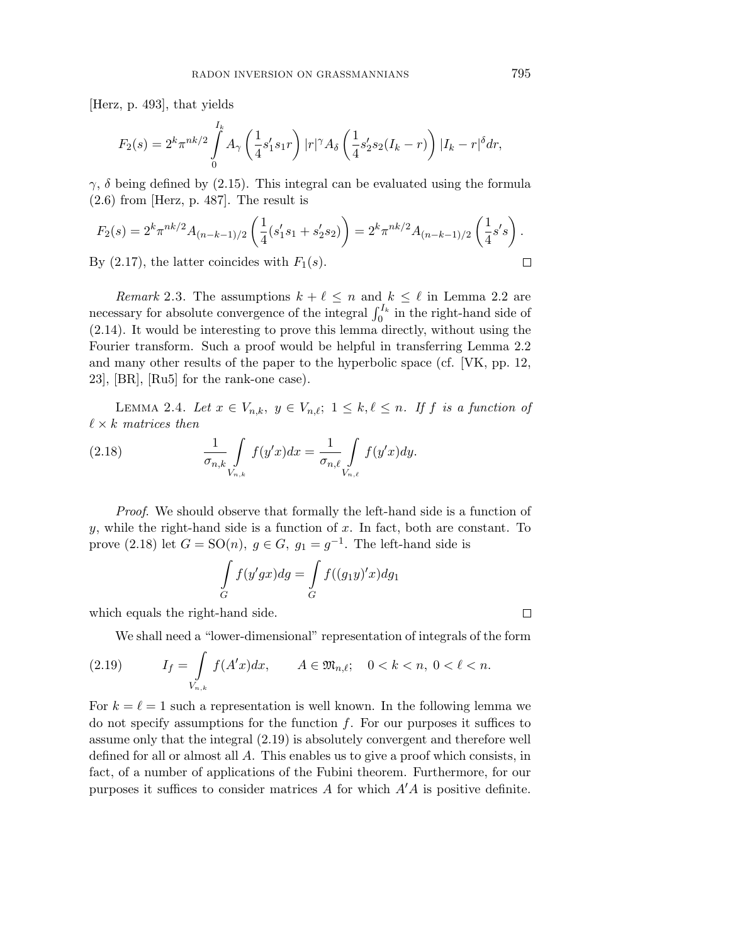[Herz, p. 493], that yields

$$
F_2(s) = 2^k \pi^{nk/2} \int_0^{I_k} A_\gamma \left(\frac{1}{4} s_1' s_1 r\right) |r|^\gamma A_\delta \left(\frac{1}{4} s_2' s_2 (I_k - r)\right) |I_k - r|^\delta dr,
$$

*γ*, *δ* being defined by (2.15). This integral can be evaluated using the formula (2.6) from [Herz, p. 487]. The result is

$$
F_2(s) = 2^k \pi^{nk/2} A_{(n-k-1)/2} \left( \frac{1}{4} (s_1' s_1 + s_2' s_2) \right) = 2^k \pi^{nk/2} A_{(n-k-1)/2} \left( \frac{1}{4} s' s \right).
$$
  
By (2.17), the latter coincides with  $F_1(s)$ .

By  $(2.17)$ , the latter coincides with  $F_1(s)$ .

*Remark* 2.3. The assumptions  $k + \ell \leq n$  and  $k \leq \ell$  in Lemma 2.2 are necessary for absolute convergence of the integral  $\int_0^{I_k}$  in the right-hand side of (2.14). It would be interesting to prove this lemma directly, without using the Fourier transform. Such a proof would be helpful in transferring Lemma 2.2 and many other results of the paper to the hyperbolic space (cf. [VK, pp. 12, 23], [BR], [Ru5] for the rank-one case).

LEMMA 2.4. Let  $x \in V_{n,k}$ ,  $y \in V_{n,\ell}$ ;  $1 \leq k,\ell \leq n$ . If *f* is a function of  $\ell \times k$  matrices then

(2.18) 
$$
\frac{1}{\sigma_{n,k}} \int_{V_{n,k}} f(y'x) dx = \frac{1}{\sigma_{n,\ell}} \int_{V_{n,\ell}} f(y'x) dy.
$$

Proof. We should observe that formally the left-hand side is a function of *y*, while the right-hand side is a function of *x*. In fact, both are constant. To prove (2.18) let  $G = SO(n)$ ,  $g \in G$ ,  $g_1 = g^{-1}$ . The left-hand side is

$$
\int_{G} f(y'gx)dg = \int_{G} f((g_1y)'x)dg_1
$$

which equals the right-hand side.

We shall need a "lower-dimensional" representation of integrals of the form

(2.19) 
$$
I_f = \int_{V_{n,k}} f(A'x) dx, \qquad A \in \mathfrak{M}_{n,\ell}; \quad 0 < k < n, \ 0 < \ell < n.
$$

For  $k = \ell = 1$  such a representation is well known. In the following lemma we do not specify assumptions for the function *f*. For our purposes it suffices to assume only that the integral (2.19) is absolutely convergent and therefore well defined for all or almost all *A*. This enables us to give a proof which consists, in fact, of a number of applications of the Fubini theorem. Furthermore, for our purposes it suffices to consider matrices *A* for which *A A* is positive definite.

 $\Box$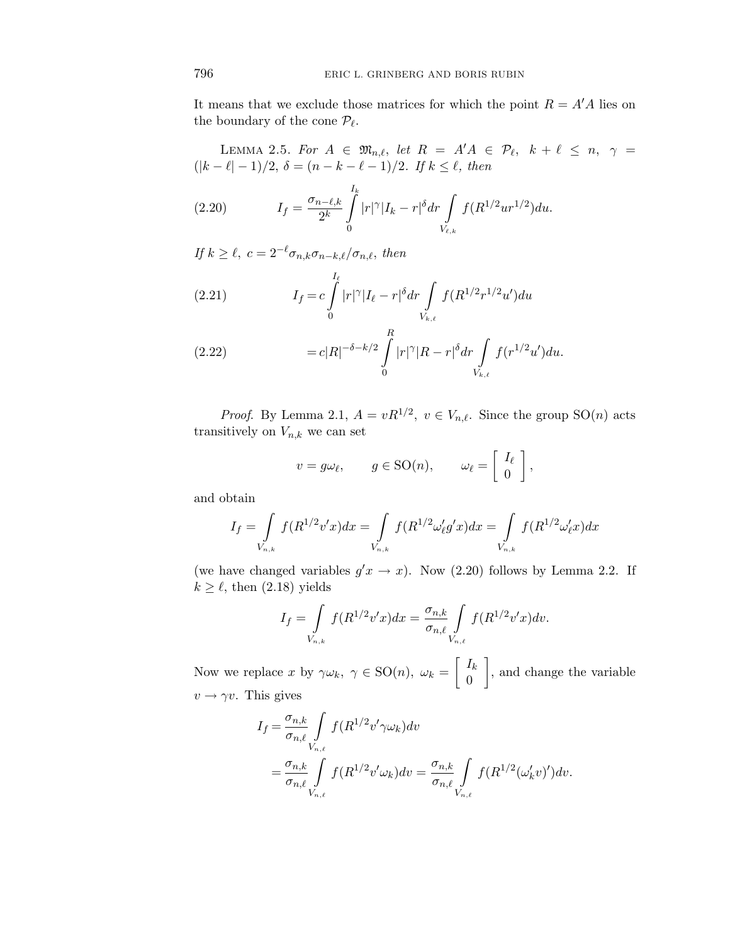It means that we exclude those matrices for which the point  $R = A'A$  lies on the boundary of the cone  $\mathcal{P}_{\ell}$ .

LEMMA 2.5. For 
$$
A \in \mathfrak{M}_{n,\ell}
$$
, let  $R = A'A \in \mathcal{P}_{\ell}$ ,  $k + \ell \leq n$ ,  $\gamma = (\vert k - \ell \vert - 1)/2$ ,  $\delta = (n - k - \ell - 1)/2$ . If  $k \leq \ell$ , then

(2.20) 
$$
I_f = \frac{\sigma_{n-\ell,k}}{2^k} \int\limits_0^{I_k} |r|^\gamma |I_k - r|^\delta dr \int\limits_{V_{\ell,k}} f(R^{1/2}ur^{1/2}) du.
$$

If  $k \geq \ell$ ,  $c = 2^{-\ell} \sigma_{n,k} \sigma_{n-k,\ell} / \sigma_{n,\ell}$ , then

(2.21) 
$$
I_f = c \int_0^{I_\ell} |r|^\gamma |I_\ell - r|^\delta dr \int_{V_{k,\ell}} f(R^{1/2} r^{1/2} u') du
$$

(2.22) 
$$
= c|R|^{-\delta - k/2} \int_{0}^{R} |r|^{\gamma} |R - r|^{\delta} dr \int_{V_{k,\ell}} f(r^{1/2} u') du.
$$

*Proof.* By Lemma 2.1,  $A = vR^{1/2}$ ,  $v \in V_{n,\ell}$ . Since the group  $SO(n)$  acts transitively on  $V_{n,k}$  we can set

$$
v = g\omega_{\ell}, \qquad g \in SO(n), \qquad \omega_{\ell} = \begin{bmatrix} I_{\ell} \\ 0 \end{bmatrix},
$$

and obtain

$$
I_f = \int\limits_{V_{n,k}} f(R^{1/2}v'x) dx = \int\limits_{V_{n,k}} f(R^{1/2} \omega_\ell' g'x) dx = \int\limits_{V_{n,k}} f(R^{1/2} \omega_\ell' x) dx
$$

(we have changed variables  $g'x \to x$ ). Now (2.20) follows by Lemma 2.2. If  $k \geq \ell$ , then (2.18) yields

$$
I_{f} = \int_{V_{n,k}} f(R^{1/2}v'x)dx = \frac{\sigma_{n,k}}{\sigma_{n,\ell}} \int_{V_{n,\ell}} f(R^{1/2}v'x)dv.
$$

Now we replace *x* by  $\gamma \omega_k$ ,  $\gamma \in SO(n)$ ,  $\omega_k =$  $\int$ *Ik* 0 1 , and change the variable  $v \rightarrow \gamma v$ . This gives

$$
I_f = \frac{\sigma_{n,k}}{\sigma_{n,\ell}} \int_{V_{n,\ell}} f(R^{1/2} v' \gamma \omega_k) dv
$$
  
= 
$$
\frac{\sigma_{n,k}}{\sigma_{n,\ell}} \int_{V_{n,\ell}} f(R^{1/2} v' \omega_k) dv = \frac{\sigma_{n,k}}{\sigma_{n,\ell}} \int_{V_{n,\ell}} f(R^{1/2} (\omega'_k v)') dv.
$$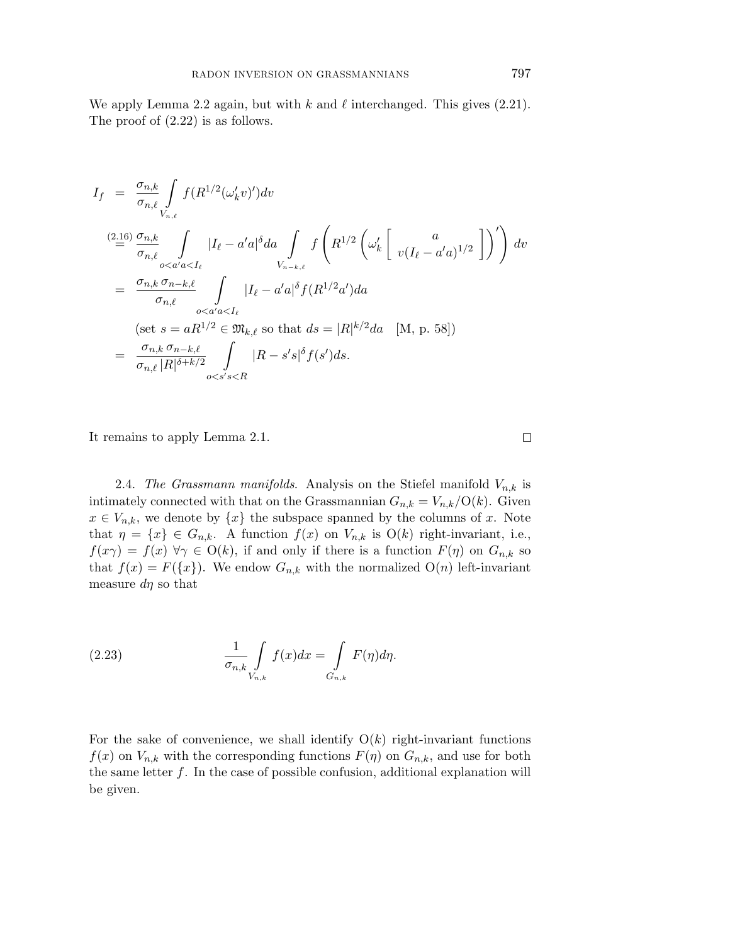We apply Lemma 2.2 again, but with  $k$  and  $\ell$  interchanged. This gives (2.21). The proof of (2.22) is as follows.

$$
I_{f} = \frac{\sigma_{n,k}}{\sigma_{n,\ell}} \int_{V_{n,\ell}} f(R^{1/2}(\omega_{k}^{\prime}v^{\prime})^{\prime}) dv
$$
\n
$$
= \frac{\sigma_{n,k}}{\sigma_{n,\ell}} \int_{o < a'a < I_{\ell}} |I_{\ell} - a'a|^{\delta} da \int_{V_{n-k,\ell}} f(R^{1/2}(\omega_{k}^{\prime} \left[ \omega_{k}^{\prime} \left[ \omega_{l}^{\prime} - a'a)^{1/2} \right] )^{\prime} \right) dv
$$
\n
$$
= \frac{\sigma_{n,k} \sigma_{n-k,\ell}}{\sigma_{n,\ell}} \int_{o < a'a < I_{\ell}} |I_{\ell} - a'a|^{\delta} f(R^{1/2}a^{\prime}) da
$$
\n
$$
= \frac{\sigma_{n,k} \sigma_{n-k,\ell}}{\sigma_{n,\ell}} \int_{o < a'a < I_{\ell}} |I_{\ell} - a'a|^{\delta} f(R^{1/2}a^{\prime}) da \quad [M, p. 58])
$$
\n
$$
= \frac{\sigma_{n,k} \sigma_{n-k,\ell}}{\sigma_{n,\ell} |R|^{\delta+k/2}} \int_{o < s's < R} |R - s's|^{\delta} f(s^{\prime}) ds.
$$

It remains to apply Lemma 2.1.

2.4. The Grassmann manifolds. Analysis on the Stiefel manifold  $V_{n,k}$  is intimately connected with that on the Grassmannian  $G_{n,k} = V_{n,k}/O(k)$ . Given  $x \in V_{n,k}$ , we denote by  $\{x\}$  the subspace spanned by the columns of *x*. Note that  $\eta = \{x\} \in G_{n,k}$ . A function  $f(x)$  on  $V_{n,k}$  is  $O(k)$  right-invariant, i.e.,  $f(x\gamma) = f(x)$   $\forall \gamma \in O(k)$ , if and only if there is a function  $F(\eta)$  on  $G_{n,k}$  so that  $f(x) = F({x})$ . We endow  $G_{n,k}$  with the normalized  $O(n)$  left-invariant measure *dη* so that

(2.23) 
$$
\frac{1}{\sigma_{n,k}} \int\limits_{V_{n,k}} f(x) dx = \int\limits_{G_{n,k}} F(\eta) d\eta.
$$

For the sake of convenience, we shall identify  $O(k)$  right-invariant functions  $f(x)$  on  $V_{n,k}$  with the corresponding functions  $F(\eta)$  on  $G_{n,k}$ , and use for both the same letter *f*. In the case of possible confusion, additional explanation will be given.

 $\Box$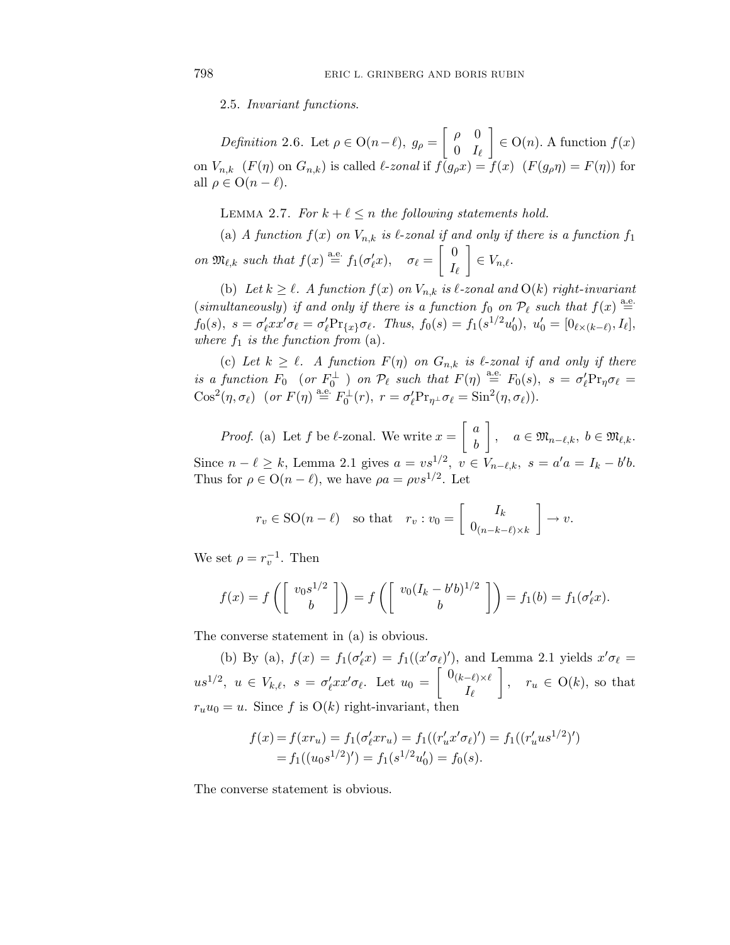2.5. Invariant functions.

Definition 2.6. Let  $\rho \in O(n-\ell)$ ,  $g_{\rho} = \begin{bmatrix} \rho & 0 \\ 0 & I \end{bmatrix}$ 0 *I* 1  $\in$   $O(n)$ *.* A function  $f(x)$ on  $V_{n,k}$   $(F(\eta)$  on  $G_{n,k})$  is called  $\ell$ -zonal if  $f(g_\rho x) = f(x)$   $(F(g_\rho \eta) = F(\eta))$  for all  $\rho \in O(n-\ell)$ .

LEMMA 2.7. For  $k + \ell \leq n$  the following statements hold.

(a) A function  $f(x)$  on  $V_{n,k}$  is  $\ell$ -zonal if and only if there is a function  $f_1$ on  $\mathfrak{M}_{\ell,k}$  such that  $f(x) \stackrel{\text{a.e.}}{=} f_1(\sigma'_\ell x), \quad \sigma_\ell =$  $\begin{bmatrix} 0 \end{bmatrix}$  $I_{\ell}$ 1  $\in V_{n,\ell}.$ 

(b) Let  $k \geq \ell$ . A function  $f(x)$  on  $V_{n,k}$  is  $\ell$ -zonal and  $O(k)$  right-invariant (simultaneously) if and only if there is a function  $f_0$  on  $\mathcal{P}_{\ell}$  such that  $f(x) \stackrel{\text{a.e.}}{=}$  $f_0(s)$ *,*  $s = \sigma'_{\ell} x x' \sigma_{\ell} = \sigma'_{\ell} \Pr_{\{x\}} \sigma_{\ell}$ *. Thus,*  $f_0(s) = f_1(s^{1/2} u'_0)$ *,*  $u'_0 = [0_{\ell \times (k-\ell)}, I_{\ell}]$ *,* where  $f_1$  is the function from  $(a)$ .

(c) Let  $k \geq \ell$ . A function  $F(\eta)$  on  $G_{n,k}$  is  $\ell$ -zonal if and only if there is a function  $F_0$  (or  $F_0^{\perp}$ ) on  $\mathcal{P}_{\ell}$  such that  $F(\eta) \stackrel{\text{a.e.}}{=} F_0(s)$ ,  $s = \sigma'_{\ell} Pr_{\eta} \sigma_{\ell} =$  $\cos^2(\eta, \sigma_\ell)$  (or  $F(\eta) \stackrel{\text{a.e.}}{=} F_0^{\perp}(r), r = \sigma'_\ell \Pr_{\eta^{\perp}} \sigma_\ell = \sin^2(\eta, \sigma_\ell)$ ).

*Proof.* (a) Let f be  $\ell$ -zonal. We write  $x =$  *a b* 1 *,*  $a \in \mathfrak{M}_{n-\ell,k}, b \in \mathfrak{M}_{\ell,k}.$ Since  $n - \ell \geq k$ , Lemma 2.1 gives  $a = vs^{1/2}$ ,  $v \in V_{n-\ell,k}$ ,  $s = a'a = I_k - b'b$ . Thus for  $\rho \in O(n-\ell)$ , we have  $\rho a = \rho v s^{1/2}$ . Let

$$
r_v \in SO(n-\ell)
$$
 so that  $r_v : v_0 = \begin{bmatrix} I_k \\ 0_{(n-k-\ell)\times k} \end{bmatrix} \to v.$ 

We set  $\rho = r_v^{-1}$ . Then

$$
f(x) = f\left(\begin{bmatrix} v_0 s^{1/2} \\ b \end{bmatrix}\right) = f\left(\begin{bmatrix} v_0(I_k - b'b)^{1/2} \\ b \end{bmatrix}\right) = f_1(b) = f_1(\sigma'_\ell x).
$$

The converse statement in (a) is obvious.

(b) By (a),  $f(x) = f_1(\sigma'_\ell x) = f_1((x'\sigma_\ell)'),$  and Lemma 2.1 yields  $x'\sigma_\ell =$  $u s^{1/2}, u \in V_{k,\ell}, s = \sigma'_\ell x x' \sigma_\ell.$  Let  $u_0 =$  $\left[ 0_{(k-\ell)\times\ell}\right]$ *I* 1 *,*  $r_u \in O(k)$ , so that  $r_u u_0 = u$ . Since f is  $O(k)$  right-invariant, then

$$
f(x) = f(xr_u) = f_1(\sigma_\ell' x r_u) = f_1((r_u' x' \sigma_\ell)') = f_1((r_u' u s^{1/2})')
$$
  
=  $f_1((u_0 s^{1/2})') = f_1(s^{1/2} u_0') = f_0(s).$ 

The converse statement is obvious.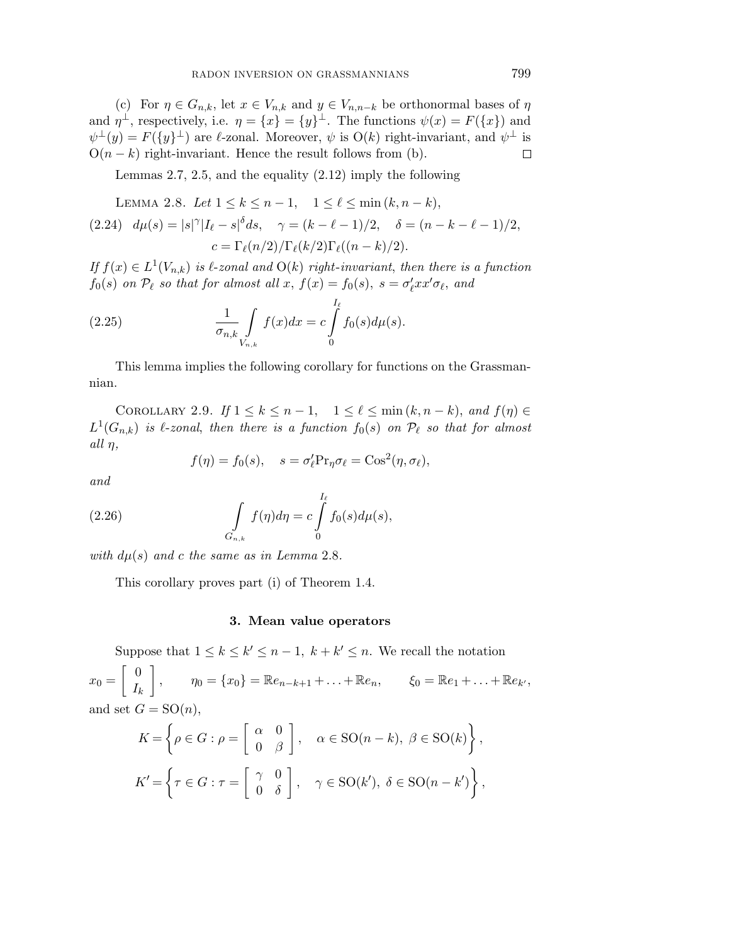(c) For  $\eta \in G_{n,k}$ , let  $x \in V_{n,k}$  and  $y \in V_{n,n-k}$  be orthonormal bases of  $\eta$ and  $\eta^{\perp}$ , respectively, i.e.  $\eta = \{x\} = \{y\}^{\perp}$ . The functions  $\psi(x) = F(\{x\})$  and  $\psi^{\perp}(y) = F(\lbrace y \rbrace^{\perp})$  are  $\ell$ -zonal. Moreover,  $\psi$  is  $O(k)$  right-invariant, and  $\psi^{\perp}$  is  $O(n-k)$  right-invariant. Hence the result follows from (b).  $\Box$ 

Lemmas 2.7, 2.5, and the equality (2.12) imply the following

LEMMA 2.8. Let 
$$
1 \le k \le n - 1
$$
,  $1 \le \ell \le \min(k, n - k)$ ,  
(2.24)  $d\mu(s) = |s|^\gamma |I_\ell - s|^{\delta} ds$ ,  $\gamma = (k - \ell - 1)/2$ ,  $\delta = (n - k - \ell - 1)/2$ ,  
 $c = \Gamma_\ell(n/2) / \Gamma_\ell(k/2) \Gamma_\ell((n - k)/2)$ .

If  $f(x) \in L^1(V_{n,k})$  is  $\ell$ -zonal and  $O(k)$  right-invariant, then there is a function *f*<sub>0</sub>(*s*) on  $\mathcal{P}_{\ell}$  so that for almost all *x*,  $f(x) = f_0(s)$ *,*  $s = \sigma_{\ell}^{'} x x^{\prime} \sigma_{\ell}$ *, and* 

(2.25) 
$$
\frac{1}{\sigma_{n,k}} \int\limits_{V_{n,k}} f(x) dx = c \int\limits_{0}^{I_{\ell}} f_0(s) d\mu(s).
$$

This lemma implies the following corollary for functions on the Grassmannian.

COROLLARY 2.9. If  $1 \leq k \leq n-1$ ,  $1 \leq \ell \leq \min(k, n-k)$ , and  $f(\eta) \in$  $L^1(G_{n,k})$  is  $\ell$ -zonal, then there is a function  $f_0(s)$  on  $\mathcal{P}_\ell$  so that for almost all *η*,

$$
f(\eta) = f_0(s), \quad s = \sigma'_\ell \Pr_\eta \sigma_\ell = \cos^2(\eta, \sigma_\ell),
$$

and

(2.26) 
$$
\int_{G_{n,k}} f(\eta) d\eta = c \int_{0}^{I_{\ell}} f_0(s) d\mu(s),
$$

with  $d\mu(s)$  and c the same as in Lemma 2.8.

This corollary proves part (i) of Theorem 1.4.

#### **3. Mean value operators**

Suppose that  $1 \leq k \leq k' \leq n-1$ ,  $k + k' \leq n$ . We recall the notation  $x_0 =$  $\begin{bmatrix} 0 \end{bmatrix}$  $I_k$ 1 *,*  $\eta_0 = \{x_0\} = \mathbb{R}e_{n-k+1} + \ldots + \mathbb{R}e_n, \qquad \xi_0 = \mathbb{R}e_1 + \ldots + \mathbb{R}e_{k'},$ and set  $G = SO(n)$ ,

$$
K = \left\{ \rho \in G : \rho = \begin{bmatrix} \alpha & 0 \\ 0 & \beta \end{bmatrix}, \quad \alpha \in SO(n-k), \ \beta \in SO(k) \right\},\
$$

$$
K' = \left\{ \tau \in G : \tau = \begin{bmatrix} \gamma & 0 \\ 0 & \delta \end{bmatrix}, \quad \gamma \in SO(k'), \ \delta \in SO(n-k') \right\},\
$$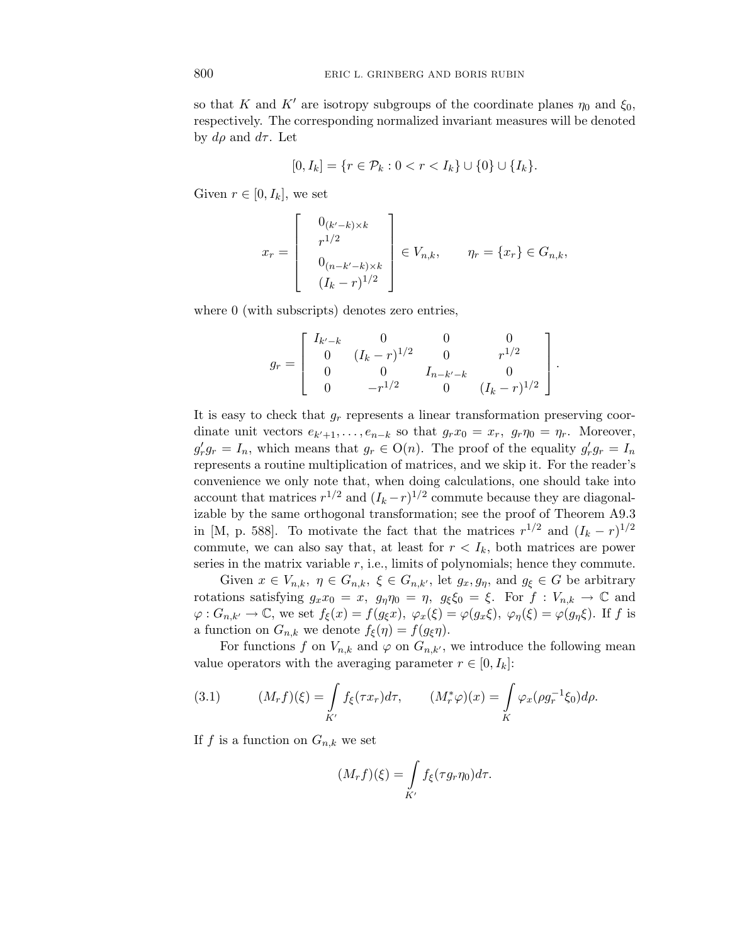so that *K* and *K'* are isotropy subgroups of the coordinate planes  $\eta_0$  and  $\xi_0$ , respectively. The corresponding normalized invariant measures will be denoted by  $d\rho$  and  $d\tau$ . Let

$$
[0, I_k] = \{ r \in \mathcal{P}_k : 0 < r < I_k \} \cup \{ 0 \} \cup \{ I_k \}.
$$

Given  $r \in [0, I_k]$ , we set

$$
x_r = \begin{bmatrix} 0_{(k'-k)\times k} \\ r^{1/2} \\ 0_{(n-k'-k)\times k} \\ (I_k - r)^{1/2} \end{bmatrix} \in V_{n,k}, \qquad \eta_r = \{x_r\} \in G_{n,k},
$$

where 0 (with subscripts) denotes zero entries,

$$
g_r = \begin{bmatrix} I_{k'-k} & 0 & 0 & 0 \\ 0 & (I_k - r)^{1/2} & 0 & r^{1/2} \\ 0 & 0 & I_{n-k'-k} & 0 \\ 0 & -r^{1/2} & 0 & (I_k - r)^{1/2} \end{bmatrix}.
$$

It is easy to check that *g*<sup>r</sup> represents a linear transformation preserving coordinate unit vectors  $e_{k'+1}, \ldots, e_{n-k}$  so that  $g_rx_0 = x_r$ ,  $g_r\eta_0 = \eta_r$ . Moreover,  $g'_r g_r = I_n$ , which means that  $g_r \in O(n)$ . The proof of the equality  $g'_r g_r = I_n$ represents a routine multiplication of matrices, and we skip it. For the reader's convenience we only note that, when doing calculations, one should take into account that matrices  $r^{1/2}$  and  $(I_k - r)^{1/2}$  commute because they are diagonalizable by the same orthogonal transformation; see the proof of Theorem A9.3 in [M, p. 588]. To motivate the fact that the matrices  $r^{1/2}$  and  $(I_k - r)^{1/2}$ commute, we can also say that, at least for  $r < I_k$ , both matrices are power series in the matrix variable *r*, i.e., limits of polynomials; hence they commute.

Given  $x \in V_{n,k}, \ \eta \in G_{n,k}, \ \xi \in G_{n,k'},$  let  $g_x, g_\eta$ , and  $g_\xi \in G$  be arbitrary rotations satisfying  $g_x x_0 = x$ ,  $g_\eta \eta_0 = \eta$ ,  $g_\xi \xi_0 = \xi$ . For  $f: V_{n,k} \to \mathbb{C}$  and  $\varphi: G_{n,k'} \to \mathbb{C}$ , we set  $f_{\xi}(x) = f(g_{\xi}x), \varphi_x(\xi) = \varphi(g_x\xi), \varphi_y(\xi) = \varphi(g_y\xi)$ . If *f* is a function on  $G_{n,k}$  we denote  $f_{\xi}(\eta) = f(g_{\xi}\eta)$ .

For functions *f* on  $V_{n,k}$  and  $\varphi$  on  $G_{n,k'}$ , we introduce the following mean value operators with the averaging parameter  $r \in [0, I_k]$ :

(3.1) 
$$
(M_r f)(\xi) = \int_{K'} f_{\xi}(\tau x_r) d\tau, \qquad (M^*_{r} \varphi)(x) = \int_{K} \varphi_x (\rho g_r^{-1} \xi_0) d\rho.
$$

If  $f$  is a function on  $G_{n,k}$  we set

$$
(M_r f)(\xi) = \int\limits_{K'} f_{\xi}(\tau g_r \eta_0) d\tau.
$$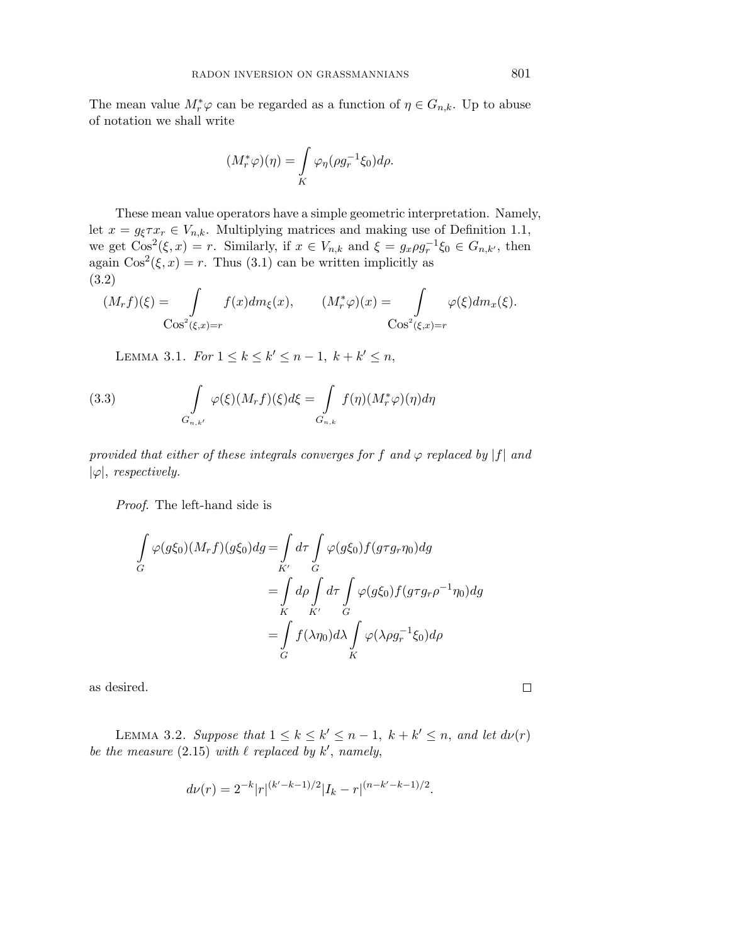The mean value  $M^*_{r} \varphi$  can be regarded as a function of  $\eta \in G_{n,k}$ . Up to abuse of notation we shall write

$$
(M_r^*\varphi)(\eta) = \int\limits_K \varphi_\eta(\rho g_r^{-1}\xi_0)d\rho.
$$

These mean value operators have a simple geometric interpretation. Namely, let  $x = g_{\xi} \tau x_r \in V_{n,k}$ . Multiplying matrices and making use of Definition 1.1, we get  $\text{Cos}^2(\xi, x) = r$ . Similarly, if  $x \in V_{n,k}$  and  $\xi = g_x \rho g_r^{-1} \xi_0 \in G_{n,k'}$ , then again  $Cos^2(\xi, x) = r$ . Thus (3.1) can be written implicitly as (3.2)

$$
(M_r f)(\xi) = \int_{\cos^2(\xi, x) = r} f(x) dm_{\xi}(x), \qquad (M^*_{r} \varphi)(x) = \int_{\cos^2(\xi, x) = r} \varphi(\xi) dm_x(\xi).
$$

LEMMA 3.1. For  $1 \le k \le k' \le n - 1$ ,  $k + k' \le n$ ,

(3.3) 
$$
\int_{G_{n,k'}} \varphi(\xi)(M_r f)(\xi) d\xi = \int_{G_{n,k}} f(\eta)(M_r^* \varphi)(\eta) d\eta
$$

provided that either of these integrals converges for f and  $\varphi$  replaced by |f| and  $|\varphi|$ , *respectively.* 

Proof. The left-hand side is

$$
\int_{G} \varphi(g\xi_0)(M_r f)(g\xi_0) dg = \int_{K'} d\tau \int_{G} \varphi(g\xi_0) f(g\tau g_r \eta_0) dg
$$
\n
$$
= \int_{K} d\rho \int_{K'} d\tau \int_{G} \varphi(g\xi_0) f(g\tau g_r \rho^{-1} \eta_0) dg
$$
\n
$$
= \int_{G} f(\lambda \eta_0) d\lambda \int_{K} \varphi(\lambda \rho g_r^{-1} \xi_0) d\rho
$$

as desired.

 $\Box$ 

LEMMA 3.2. Suppose that  $1 \leq k \leq k' \leq n-1$ ,  $k + k' \leq n$ , and let  $d\nu(r)$ be the measure  $(2.15)$  with  $\ell$  replaced by  $k'$ , namely,

$$
d\nu(r) = 2^{-k}|r|^{(k'-k-1)/2}|I_k-r|^{(n-k'-k-1)/2}.
$$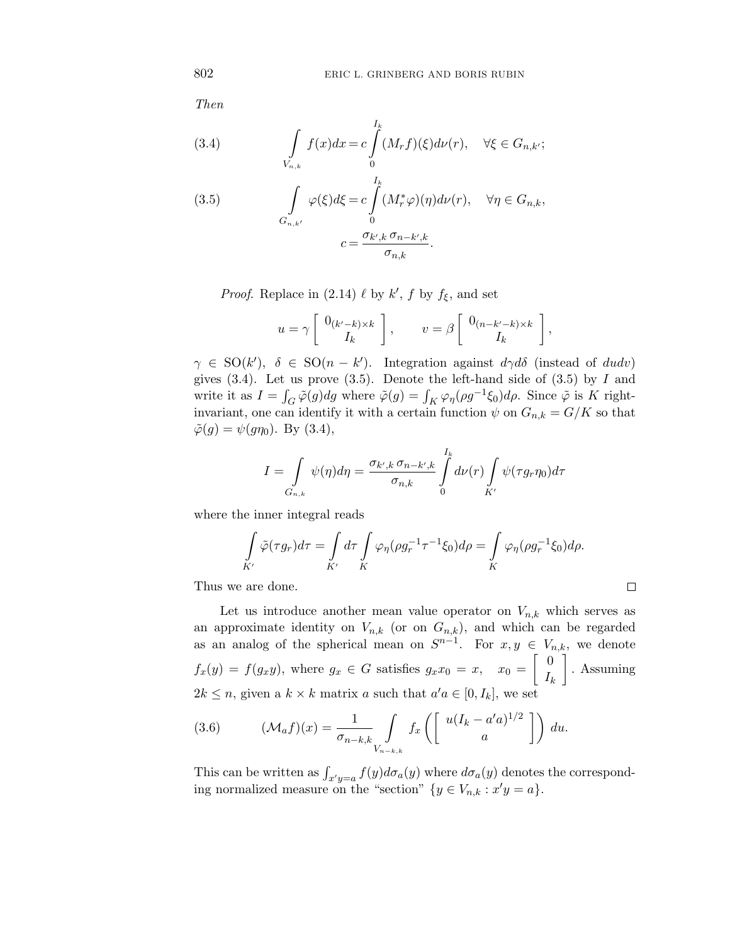Then

(3.4) 
$$
\int_{V_{n,k}} f(x)dx = c \int_{0}^{I_k} (M_r f)(\xi) d\nu(r), \quad \forall \xi \in G_{n,k'};
$$

(3.5) 
$$
\int_{G_{n,k'}} \varphi(\xi) d\xi = c \int_0^{I_k} (M_r^* \varphi)(\eta) d\nu(r), \quad \forall \eta \in G_{n,k},
$$

$$
c = \frac{\sigma_{k',k} \sigma_{n-k',k}}{\sigma_{n,k}}.
$$

*Proof.* Replace in (2.14)  $\ell$  by  $k'$ ,  $f$  by  $f_{\xi}$ , and set

$$
u = \gamma \left[ \begin{array}{c} 0_{(k'-k)\times k} \\ I_k \end{array} \right], \qquad v = \beta \left[ \begin{array}{c} 0_{(n-k'-k)\times k} \\ I_k \end{array} \right],
$$

 $\gamma \in SO(k')$ ,  $\delta \in SO(n - k')$ . Integration against  $d\gamma d\delta$  (instead of *dudv*) gives (3.4). Let us prove (3.5). Denote the left-hand side of (3.5) by *I* and write it as  $I = \int_G \tilde{\varphi}(g) dg$  where  $\tilde{\varphi}(g) = \int_K \varphi_\eta(\rho g^{-1} \xi_0) d\rho$ . Since  $\tilde{\varphi}$  is K rightinvariant, one can identify it with a certain function  $\psi$  on  $G_{n,k} = G/K$  so that  $\tilde{\varphi}(g) = \psi(g\eta_0)$ . By (3.4),

$$
I = \int\limits_{G_{n,k}} \psi(\eta) d\eta = \frac{\sigma_{k',k} \sigma_{n-k',k}}{\sigma_{n,k}} \int\limits_{0}^{I_k} d\nu(r) \int\limits_{K'} \psi(\tau g_r \eta_0) d\tau
$$

where the inner integral reads

$$
\int_{K'} \tilde{\varphi}(\tau g_r) d\tau = \int_{K'} d\tau \int_{K} \varphi_\eta(\rho g_r^{-1} \tau^{-1} \xi_0) d\rho = \int_{K} \varphi_\eta(\rho g_r^{-1} \xi_0) d\rho.
$$

 $\Box$ 

Thus we are done.

Let us introduce another mean value operator on  $V_{n,k}$  which serves as an approximate identity on  $V_{n,k}$  (or on  $G_{n,k}$ ), and which can be regarded as an analog of the spherical mean on  $S^{n-1}$ . For  $x, y \in V_{n,k}$ , we denote  $f_x(y) = f(g_x y)$ , where  $g_x \in G$  satisfies  $g_x x_0 = x$ ,  $x_0 =$  $\begin{bmatrix} 0 \end{bmatrix}$  $I_k$  $\overline{1}$ *.* Assuming  $2k \leq n$ , given a  $k \times k$  matrix *a* such that  $a'a \in [0, I_k]$ , we set

(3.6) 
$$
(\mathcal{M}_a f)(x) = \frac{1}{\sigma_{n-k,k}} \int_{V_{n-k,k}} f_x \left( \begin{bmatrix} u(I_k - a'a)^{1/2} \\ a \end{bmatrix} \right) du.
$$

This can be written as  $\int_{x'y=a} f(y) d\sigma_a(y)$  where  $d\sigma_a(y)$  denotes the corresponding normalized measure on the "section"  $\{y \in V_{n,k} : x'y = a\}.$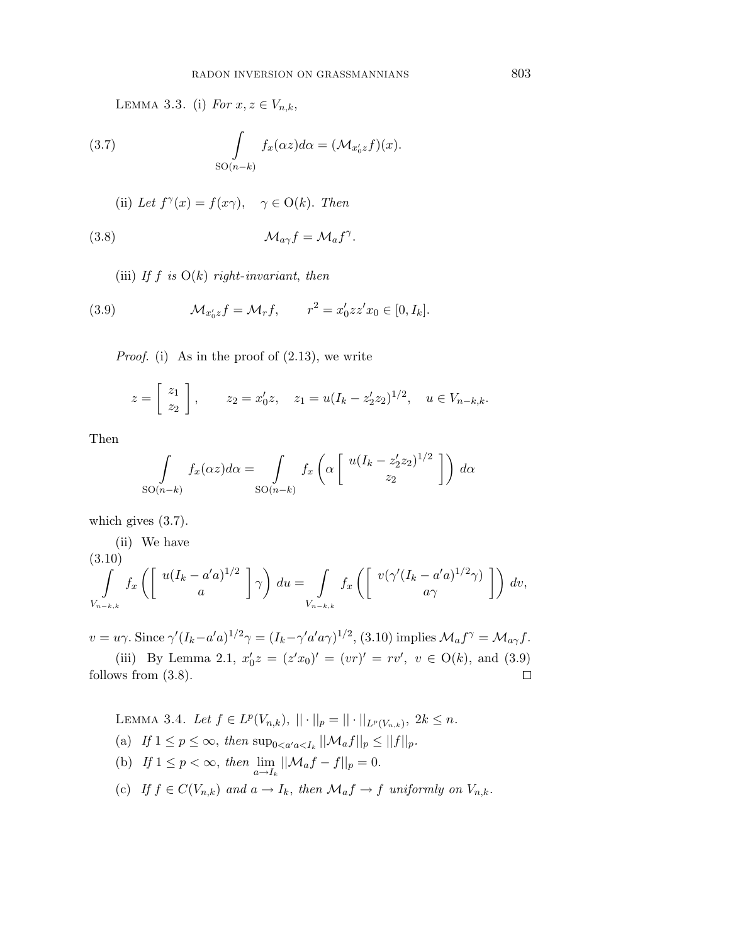LEMMA 3.3. (i) For  $x, z \in V_{n,k}$ ,

(3.7) 
$$
\int_{SO(n-k)} f_x(\alpha z) d\alpha = (\mathcal{M}_{x'_0 z} f)(x).
$$

(ii) Let 
$$
f^{\gamma}(x) = f(x\gamma)
$$
,  $\gamma \in O(k)$ . Then

(3.8) 
$$
\mathcal{M}_{a\gamma}f = \mathcal{M}_a f^{\gamma}.
$$

(iii) If  $f$  is  $O(k)$  right-invariant, then

(3.9) 
$$
\mathcal{M}_{x'_0 z} f = \mathcal{M}_r f, \qquad r^2 = x'_0 z z' x_0 \in [0, I_k].
$$

*Proof.* (i) As in the proof of  $(2.13)$ , we write

$$
z = \begin{bmatrix} z_1 \\ z_2 \end{bmatrix}
$$
,  $z_2 = x'_0 z$ ,  $z_1 = u(I_k - z'_2 z_2)^{1/2}$ ,  $u \in V_{n-k,k}$ .

Then

$$
\int_{SO(n-k)} f_x(\alpha z) d\alpha = \int_{SO(n-k)} f_x\left(\alpha \left[\begin{array}{c} u(I_k - z_2' z_2)^{1/2} \\ z_2 \end{array}\right]\right) d\alpha
$$

which gives (3.7).

(ii) We have  
\n(3.10)  
\n
$$
\int_{V_{n-k,k}} f_x \left( \begin{bmatrix} u(I_k - a'^2)^{1/2} \\ a \end{bmatrix} \gamma \right) du = \int_{V_{n-k,k}} f_x \left( \begin{bmatrix} v(\gamma'(I_k - a'^2)^{1/2} \gamma) \\ a\gamma \end{bmatrix} \right) dv,
$$

 $v = u\gamma$ . Since  $\gamma'(I_k - a'a)^{1/2}\gamma = (I_k - \gamma'a'a\gamma)^{1/2}$ , (3.10) implies  $\mathcal{M}_a f^\gamma = \mathcal{M}_{a\gamma} f$ . (iii) By Lemma 2.1,  $x'_0z = (z'x_0)' = (vr)' = rv'$ ,  $v \in O(k)$ , and (3.9) follows from (3.8).  $\Box$ 

LEMMA 3.4. Let  $f \in L^p(V_{n,k}),$   $|| \cdot ||_p = || \cdot ||_{L^p(V_{n,k})},$   $2k \leq n$ . (a) If  $1 \le p \le \infty$ , then  $\sup_{0 \le a' a \le I_k} ||\mathcal{M}_a f||_p \le ||f||_p$ . (b) If  $1 \le p < \infty$ , then  $\lim_{a \to I_k} ||\mathcal{M}_a f - f||_p = 0$ . (c) If  $f \in C(V_{n,k})$  and  $a \to I_k$ , then  $\mathcal{M}_a f \to f$  uniformly on  $V_{n,k}$ .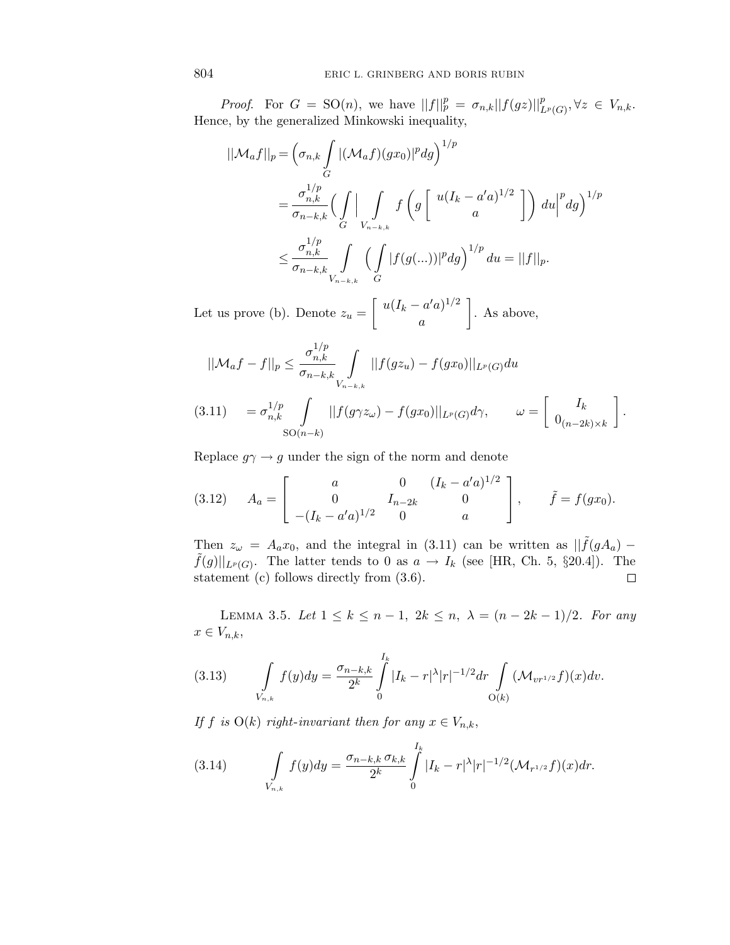*Proof.* For  $G = SO(n)$ , we have  $||f||_p^p = \sigma_{n,k}||f(gz)||_{L^p(G)}^p, \forall z \in V_{n,k}$ . Hence, by the generalized Minkowski inequality,

$$
\begin{split} ||\mathcal{M}_a f||_p &= \left(\sigma_{n,k} \int\limits_G |(\mathcal{M}_a f)(gx_0)|^p dg\right)^{1/p} \\ &= \frac{\sigma_{n,k}^{1/p}}{\sigma_{n-k,k}} \Big(\int\limits_G \Big|\int\limits_{V_{n-k,k}} f\left(g\left[\begin{array}{c} u(I_k - a'a)^{1/2} \\ a \end{array}\right]\right) du\Big|^p dg\Big)^{1/p} \\ &\leq \frac{\sigma_{n,k}^{1/p}}{\sigma_{n-k,k}} \int\limits_{V_{n-k,k}} \Big(\int\limits_G |f(g(\ldots))|^p dg\Big)^{1/p} du = ||f||_p. \end{split}
$$

Let us prove (b). Denote  $z_u =$  $\int u(I_k - a'a)^{1/2}$ *a* 1 . As above,

$$
||\mathcal{M}_a f - f||_p \le \frac{\sigma_{n,k}^{1/p}}{\sigma_{n-k,k}} \int_{V_{n-k,k}} ||f(gz_u) - f(gx_0)||_{L^p(G)} du
$$

$$
(3.11) \quad = \sigma_{n,k}^{1/p} \int\limits_{SO(n-k)} ||f(g\gamma z_{\omega}) - f(gx_0)||_{L^p(G)} d\gamma, \qquad \omega = \left[ \begin{array}{c} I_k \\ 0_{(n-2k)\times k} \end{array} \right].
$$

Replace  $g\gamma \rightarrow g$  under the sign of the norm and denote

(3.12) 
$$
A_a = \begin{bmatrix} a & 0 & (I_k - a'a)^{1/2} \\ 0 & I_{n-2k} & 0 \\ -(I_k - a'a)^{1/2} & 0 & a \end{bmatrix}, \quad \tilde{f} = f(gx_0).
$$

Then  $z_{\omega} = A_a x_0$ , and the integral in (3.11) can be written as  $|| \tilde{f}(gA_a) \tilde{f}(g)||_{L^p(G)}$ . The latter tends to 0 as  $a \to I_k$  (see [HR, Ch. 5, §20.4]). The statement (c) follows directly from (3.6).  $\Box$ 

LEMMA 3.5. Let  $1 \le k \le n-1$ ,  $2k \le n$ ,  $\lambda = (n-2k-1)/2$ . For any  $x \in V_{n,k}$ 

(3.13) 
$$
\int_{V_{n,k}} f(y) dy = \frac{\sigma_{n-k,k}}{2^k} \int_{0}^{I_k} |I_k - r|^{\lambda} |r|^{-1/2} dr \int_{O(k)} (\mathcal{M}_{vr^{1/2}} f)(x) dv.
$$

If *f* is  $O(k)$  right-invariant then for any  $x \in V_{n,k}$ ,

(3.14) 
$$
\int\limits_{V_{n,k}} f(y) dy = \frac{\sigma_{n-k,k} \sigma_{k,k}}{2^k} \int\limits_{0}^{I_k} |I_k - r|^{\lambda} |r|^{-1/2} (\mathcal{M}_{r^{1/2}} f)(x) dr.
$$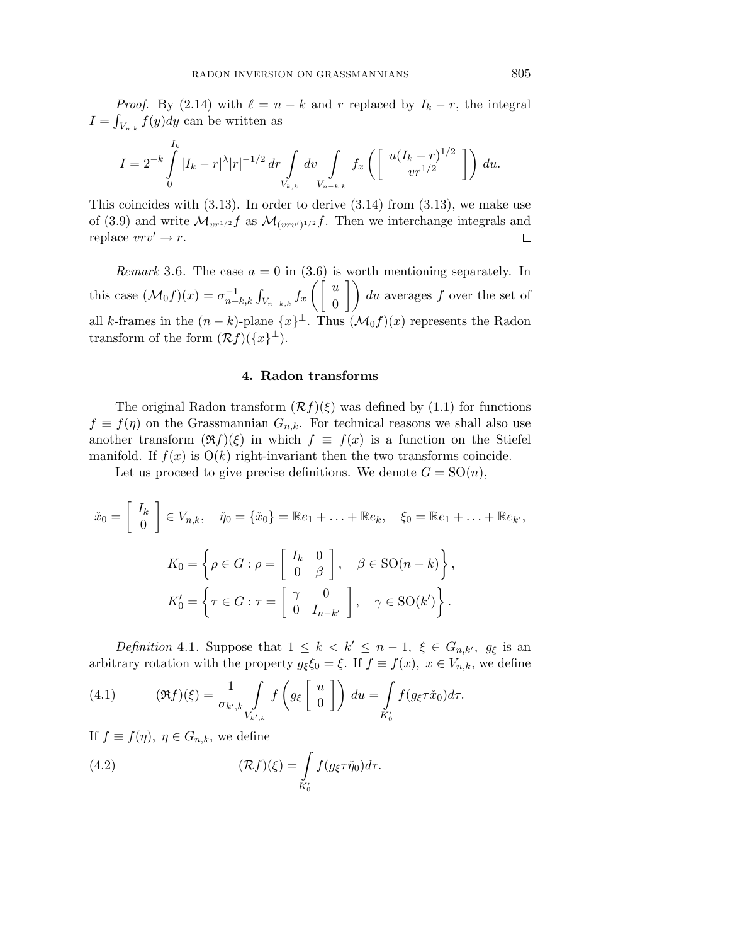*Proof.* By (2.14) with  $\ell = n - k$  and  $r$  replaced by  $I_k - r$ , the integral  $I = \int_{V_{n,k}} f(y) dy$  can be written as

$$
I = 2^{-k} \int_{0}^{I_k} |I_k - r|^{\lambda} |r|^{-1/2} \, dr \int_{V_{k,k}} dv \int_{V_{n-k,k}} f_x \left( \begin{bmatrix} u(I_k - r)^{1/2} \\ v r^{1/2} \end{bmatrix} \right) \, du.
$$

This coincides with  $(3.13)$ . In order to derive  $(3.14)$  from  $(3.13)$ , we make use of (3.9) and write  $\mathcal{M}_{vr^{1/2}}f$  as  $\mathcal{M}_{(vrv')^{1/2}}f$ . Then we interchange integrals and replace  $vrv' \rightarrow r$ .  $\Box$ 

*Remark* 3.6. The case  $a = 0$  in (3.6) is worth mentioning separately. In this case  $(\mathcal{M}_0 f)(x) = \sigma_{n-k,k}^{-1} \int_{V_{n-k,k}} f_x$  $\int \int u$  $\begin{pmatrix} u \\ 0 \end{pmatrix}$  du averages f over the set of all *k*-frames in the  $(n - k)$ -plane  $\{x\}^{\perp}$ . Thus  $(\mathcal{M}_0 f)(x)$  represents the Radon transform of the form  $(\mathcal{R}f)(\{x\}^{\perp}).$ 

## **4. Radon transforms**

The original Radon transform  $(\mathcal{R}f)(\xi)$  was defined by (1.1) for functions  $f \equiv f(\eta)$  on the Grassmannian  $G_{n,k}$ . For technical reasons we shall also use another transform  $(\Re f)(\xi)$  in which  $f \equiv f(x)$  is a function on the Stiefel manifold. If  $f(x)$  is  $O(k)$  right-invariant then the two transforms coincide.

Let us proceed to give precise definitions. We denote  $G = SO(n)$ ,

$$
\check{x}_0 = \begin{bmatrix} I_k \\ 0 \end{bmatrix} \in V_{n,k}, \quad \check{\eta}_0 = \{\check{x}_0\} = \mathbb{R}e_1 + \ldots + \mathbb{R}e_k, \quad \xi_0 = \mathbb{R}e_1 + \ldots + \mathbb{R}e_{k'},
$$

$$
K_0 = \left\{ \rho \in G : \rho = \begin{bmatrix} I_k & 0 \\ 0 & \beta \end{bmatrix}, \quad \beta \in \text{SO}(n-k) \right\},
$$

$$
K_0' = \left\{ \tau \in G : \tau = \begin{bmatrix} \gamma & 0 \\ 0 & I_{n-k'} \end{bmatrix}, \quad \gamma \in \text{SO}(k') \right\}.
$$

Definition 4.1. Suppose that  $1 \leq k < k' \leq n-1$ ,  $\xi \in G_{n,k'}$ ,  $g_{\xi}$  is an arbitrary rotation with the property  $g_{\xi} \xi_0 = \xi$ . If  $f \equiv f(x)$ ,  $x \in V_{n,k}$ , we define

(4.1) 
$$
(\mathfrak{R}f)(\xi) = \frac{1}{\sigma_{k',k}} \int_{V_{k',k}} f\left(g_{\xi} \begin{bmatrix} u \\ 0 \end{bmatrix}\right) du = \int_{K'_0} f(g_{\xi} \tau \check{x}_0) d\tau.
$$

If  $f \equiv f(\eta)$ ,  $\eta \in G_{n,k}$ , we define

(4.2) 
$$
(\mathcal{R}f)(\xi) = \int_{K'_0} f(g_{\xi}\tau\check{\eta}_0)d\tau.
$$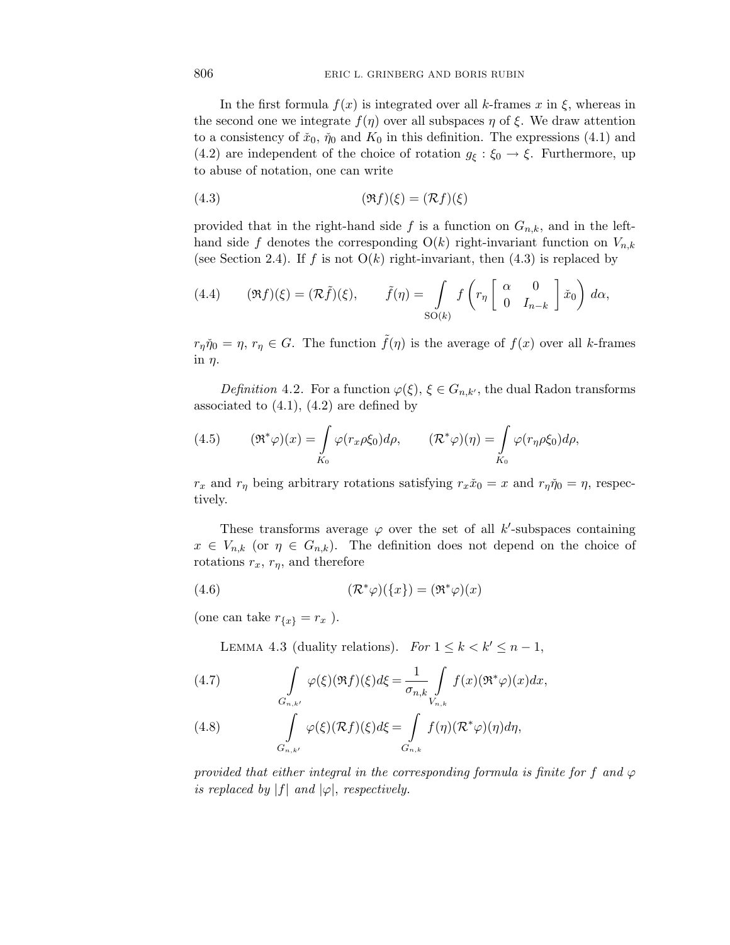In the first formula  $f(x)$  is integrated over all *k*-frames  $x$  in  $\xi$ , whereas in the second one we integrate  $f(\eta)$  over all subspaces  $\eta$  of  $\xi$ . We draw attention to a consistency of  $\check{x}_0$ ,  $\check{\eta}_0$  and  $K_0$  in this definition. The expressions (4.1) and (4.2) are independent of the choice of rotation  $g_{\xi} : \xi_0 \to \xi$ . Furthermore, up to abuse of notation, one can write

$$
(4.3) \qquad \qquad (\Re f)(\xi) = (\mathcal{R}f)(\xi)
$$

provided that in the right-hand side  $f$  is a function on  $G_{n,k}$ , and in the lefthand side f denotes the corresponding  $O(k)$  right-invariant function on  $V_{n,k}$ (see Section 2.4). If  $f$  is not  $O(k)$  right-invariant, then  $(4.3)$  is replaced by

(4.4) 
$$
(\mathfrak{R}f)(\xi) = (\mathcal{R}\tilde{f})(\xi), \qquad \tilde{f}(\eta) = \int_{\text{SO}(k)} f\left(r_{\eta} \begin{bmatrix} \alpha & 0\\ 0 & I_{n-k} \end{bmatrix} \tilde{x}_0\right) d\alpha,
$$

 $r_{\eta}\check{\eta}_0 = \eta$ ,  $r_{\eta} \in G$ . The function  $\tilde{f}(\eta)$  is the average of  $f(x)$  over all *k*-frames in *η*.

Definition 4.2. For a function  $\varphi(\xi)$ ,  $\xi \in G_{n,k'}$ , the dual Radon transforms associated to  $(4.1)$ ,  $(4.2)$  are defined by

(4.5) 
$$
(\mathfrak{R}^*\varphi)(x) = \int\limits_{K_0} \varphi(r_x \rho \xi_0) d\rho, \qquad (\mathfrak{R}^*\varphi)(\eta) = \int\limits_{K_0} \varphi(r_\eta \rho \xi_0) d\rho,
$$

*r<sub>x</sub>* and *r<sub>n</sub>* being arbitrary rotations satisfying  $r_x\tilde{x}_0 = x$  and  $r_\eta\tilde{\eta}_0 = \eta$ , respectively.

These transforms average  $\varphi$  over the set of all *k*'-subspaces containing  $x \in V_{n,k}$  (or  $\eta \in G_{n,k}$ ). The definition does not depend on the choice of rotations  $r_x$ ,  $r_\eta$ , and therefore

(4.6) 
$$
(\mathcal{R}^*\varphi)(\{x\}) = (\mathfrak{R}^*\varphi)(x)
$$

(one can take  $r_{\{x\}} = r_x$ ).

LEMMA 4.3 (duality relations). For  $1 \leq k < k' \leq n-1$ ,

(4.7) 
$$
\int_{G_{n,k'}} \varphi(\xi)(\Re f)(\xi) d\xi = \frac{1}{\sigma_{n,k}} \int_{V_{n,k}} f(x)(\Re^*\varphi)(x) dx,
$$
  
(4.8) 
$$
\int_{G_{n,k'}} \varphi(\xi)(\Re f)(\xi) d\xi = \int_{G_{n,k}} f(\eta)(\Re^*\varphi)(\eta) d\eta,
$$

provided that either integral in the corresponding formula is finite for f and  $\varphi$ is replaced by  $|f|$  and  $|\varphi|$ , respectively.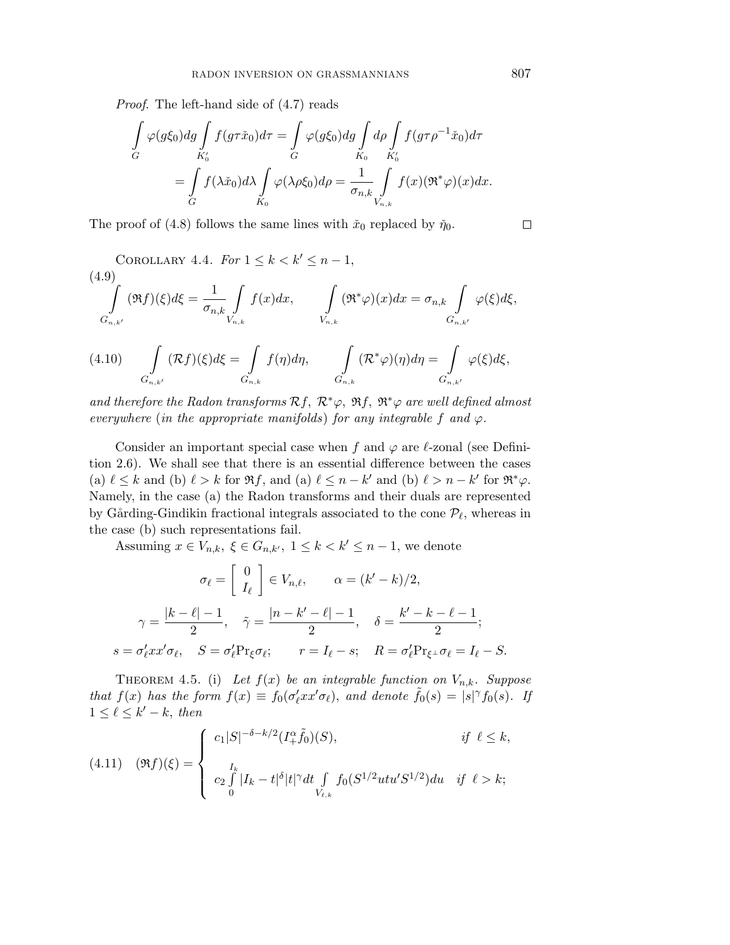Proof. The left-hand side of (4.7) reads

$$
\int_{G} \varphi(g\xi_0) dg \int_{K'_0} f(g\tau \check{x}_0) d\tau = \int_{G} \varphi(g\xi_0) dg \int_{K_0} d\rho \int_{K'_0} f(g\tau \rho^{-1} \check{x}_0) d\tau
$$

$$
= \int_{G} f(\lambda \check{x}_0) d\lambda \int_{K_0} \varphi(\lambda \rho \xi_0) d\rho = \frac{1}{\sigma_{n,k}} \int_{V_{n,k}} f(x) (\Re^* \varphi)(x) dx.
$$

The proof of (4.8) follows the same lines with  $\tilde{x}_0$  replaced by  $\tilde{\eta}_0$ .

COROLLARY 4.4. For 
$$
1 \le k < k' \le n - 1
$$
,  
\n
$$
\int_{G_{n,k'}} (\Re f)(\xi) d\xi = \frac{1}{\sigma_{n,k}} \int_{V_{n,k}} f(x) dx, \qquad \int_{V_{n,k}} (\Re^* \varphi)(x) dx = \sigma_{n,k} \int_{G_{n,k'}} \varphi(\xi) d\xi,
$$
\n
$$
\int_{G_{n,k'}} (\Im f)(\xi) d\xi = \int_{G_{n,k'}} (\Im f)(\xi) d\xi, \qquad \int_{G_{n,k'}} (\Im f)(\xi) d\xi = \int_{G_{n,k'}} (\Im f)(\xi) d\xi.
$$

$$
(4.10) \qquad \int\limits_{G_{n,k'}} (\mathcal{R}f)(\xi)d\xi = \int\limits_{G_{n,k}} f(\eta)d\eta, \qquad \int\limits_{G_{n,k}} (\mathcal{R}^*\varphi)(\eta)d\eta = \int\limits_{G_{n,k'}} \varphi(\xi)d\xi,
$$

and therefore the Radon transforms  $Rf$ ,  $\mathcal{R}^*\varphi$ ,  $\Re f$ ,  $\Re^*\varphi$  are well defined almost everywhere (in the appropriate manifolds) for any integrable f and  $\varphi$ .

Consider an important special case when  $f$  and  $\varphi$  are  $\ell$ -zonal (see Definition 2.6). We shall see that there is an essential difference between the cases (a)  $\ell \leq k$  and (b)  $\ell > k$  for  $\Re f$ , and (a)  $\ell \leq n - k'$  and (b)  $\ell > n - k'$  for  $\Re^* \varphi$ . Namely, in the case (a) the Radon transforms and their duals are represented by Gårding-Gindikin fractional integrals associated to the cone  $\mathcal{P}_{\ell}$ , whereas in the case (b) such representations fail.

Assuming  $x \in V_{n,k}, \xi \in G_{n,k'}, 1 \leq k < k' \leq n-1$ , we denote

$$
\sigma_{\ell} = \begin{bmatrix} 0 \\ I_{\ell} \end{bmatrix} \in V_{n,\ell}, \qquad \alpha = (k' - k)/2,
$$

$$
\gamma = \frac{|k - \ell| - 1}{2}, \quad \tilde{\gamma} = \frac{|n - k' - \ell| - 1}{2}, \quad \delta = \frac{k' - k - \ell - 1}{2};
$$

$$
s = \sigma_{\ell}' x x' \sigma_{\ell}, \quad S = \sigma_{\ell}' \Pr_{\xi} \sigma_{\ell}; \qquad r = I_{\ell} - s; \quad R = \sigma_{\ell}' \Pr_{\xi} \sigma_{\ell} = I_{\ell} - S.
$$

THEOREM 4.5. (i) Let  $f(x)$  be an integrable function on  $V_{n,k}$ . Suppose that  $f(x)$  has the form  $f(x) \equiv f_0(\sigma_\ell' xx' \sigma_\ell)$ , and denote  $\tilde{f}_0(s) = |s|^\gamma f_0(s)$ . If  $1 \leq \ell \leq k'-k$ , then

$$
(4.11) \quad (\Re f)(\xi) = \begin{cases} c_1|S|^{-\delta - k/2}(I_+^{\alpha}\tilde{f}_0)(S), & \text{if } \ell \leq k, \\ c_2 \int_0^I |I_k - t|^{\delta} |t|^{\gamma} dt \int_{V_{\ell,k}} f_0(S^{1/2}utu'S^{1/2}) du & \text{if } \ell > k; \end{cases}
$$

 $\Box$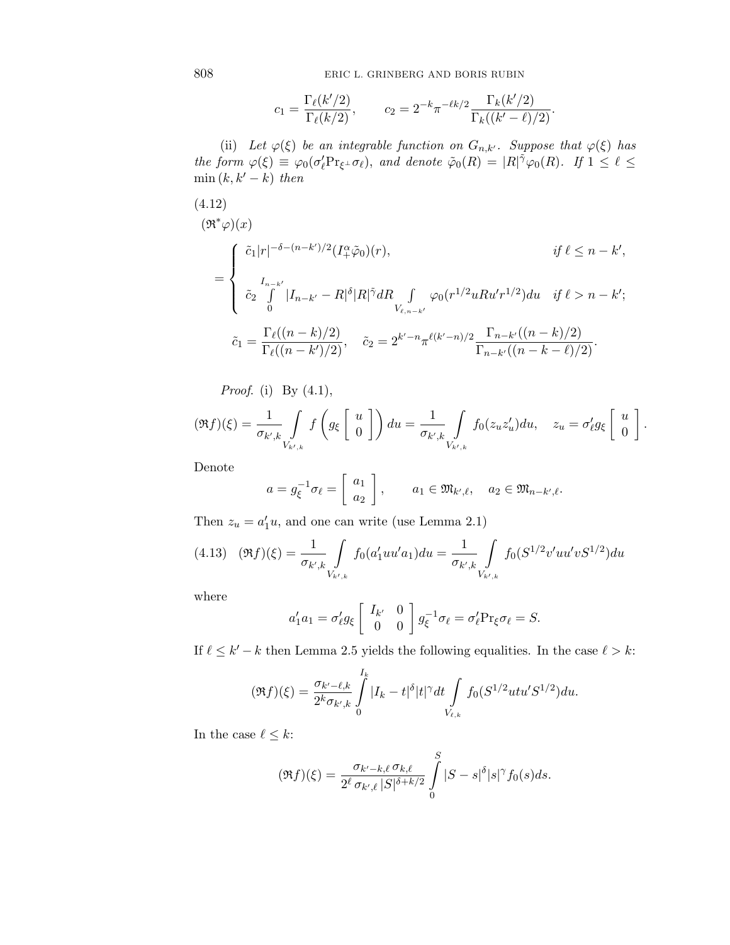808 ERIC L. GRINBERG AND BORIS RUBIN

$$
c_1 = \frac{\Gamma_{\ell}(k'/2)}{\Gamma_{\ell}(k/2)}, \qquad c_2 = 2^{-k} \pi^{-\ell k/2} \frac{\Gamma_k(k'/2)}{\Gamma_k((k'-\ell)/2)}.
$$

(ii) Let  $\varphi(\xi)$  be an integrable function on  $G_{n,k'}$ . Suppose that  $\varphi(\xi)$  has the form  $\varphi(\xi) \equiv \varphi_0(\sigma_\ell' \Pr_{\xi} \bot \sigma_\ell)$ , and denote  $\tilde{\varphi}_0(R) = |R|^{\tilde{\gamma}} \varphi_0(R)$ . If  $1 \leq \ell \leq$ min  $(k, k' - k)$  then

$$
(4.12)
$$
\n
$$
(\mathfrak{R}^* \varphi)(x)
$$
\n
$$
= \begin{cases}\n\tilde{c}_1 |r|^{-\delta - (n-k')/2} (I_+^{\alpha} \tilde{\varphi}_0)(r), & \text{if } \ell \le n - k', \\
\tilde{c}_2 \int_0^{I_{n-k'}} |I_{n-k'} - R|^{\delta} |R|^{\tilde{\gamma}} dR \int_{V_{\ell, n-k'}} \varphi_0(r^{1/2} u R u' r^{1/2}) du & \text{if } \ell > n - k'; \\
\tilde{c}_1 = \frac{\Gamma_{\ell}((n-k)/2)}{\Gamma_{\ell}((n-k')/2)}, & \tilde{c}_2 = 2^{k'-n} \pi^{\ell(k'-n)/2} \frac{\Gamma_{n-k'}((n-k)/2)}{\Gamma_{n-k'}((n-k-\ell)/2)}.\n\end{cases}
$$

*Proof.* (i) By  $(4.1)$ ,

$$
(\Re f)(\xi) = \frac{1}{\sigma_{k',k}} \int_{V_{k',k}} f\left(g_{\xi}\begin{bmatrix} u\\ 0\end{bmatrix}\right) du = \frac{1}{\sigma_{k',k}} \int_{V_{k',k}} f_0(z_u z_u') du, \quad z_u = \sigma_{\ell}' g_{\xi}\begin{bmatrix} u\\ 0\end{bmatrix}.
$$

Denote

$$
a = g_{\xi}^{-1} \sigma_{\ell} = \begin{bmatrix} a_1 \\ a_2 \end{bmatrix}, \qquad a_1 \in \mathfrak{M}_{k',\ell}, \quad a_2 \in \mathfrak{M}_{n-k',\ell}.
$$

Then  $z_u = a'_1 u$ , and one can write (use Lemma 2.1)

$$
(4.13)\quad(\Re f)(\xi) = \frac{1}{\sigma_{k',k}} \int_{V_{k',k}} f_0(a'_1uu'a_1)du = \frac{1}{\sigma_{k',k}} \int_{V_{k',k}} f_0(S^{1/2}v'uu'vS^{1/2})du
$$

where

$$
a'_1 a_1 = \sigma'_\ell g_\xi \begin{bmatrix} I_{k'} & 0 \\ 0 & 0 \end{bmatrix} g_\xi^{-1} \sigma_\ell = \sigma'_\ell \Pr_\xi \sigma_\ell = S.
$$

If  $\ell \leq k' - k$  then Lemma 2.5 yields the following equalities. In the case  $\ell > k$ :

$$
(\Re f)(\xi) = \frac{\sigma_{k'-\ell,k}}{2^k \sigma_{k',k}} \int\limits_0^{I_k} |I_k - t|^{\delta} |t|^\gamma dt \int\limits_{V_{\ell,k}} f_0(S^{1/2}utu'S^{1/2}) du.
$$

In the case  $\ell \leq k$ :

$$
(\Re f)(\xi) = \frac{\sigma_{k'-k,\ell} \sigma_{k,\ell}}{2^{\ell} \sigma_{k',\ell} |S|^{\delta+k/2}} \int_{0}^{S} |S-s|^{\delta} |s|^{\gamma} f_0(s) ds.
$$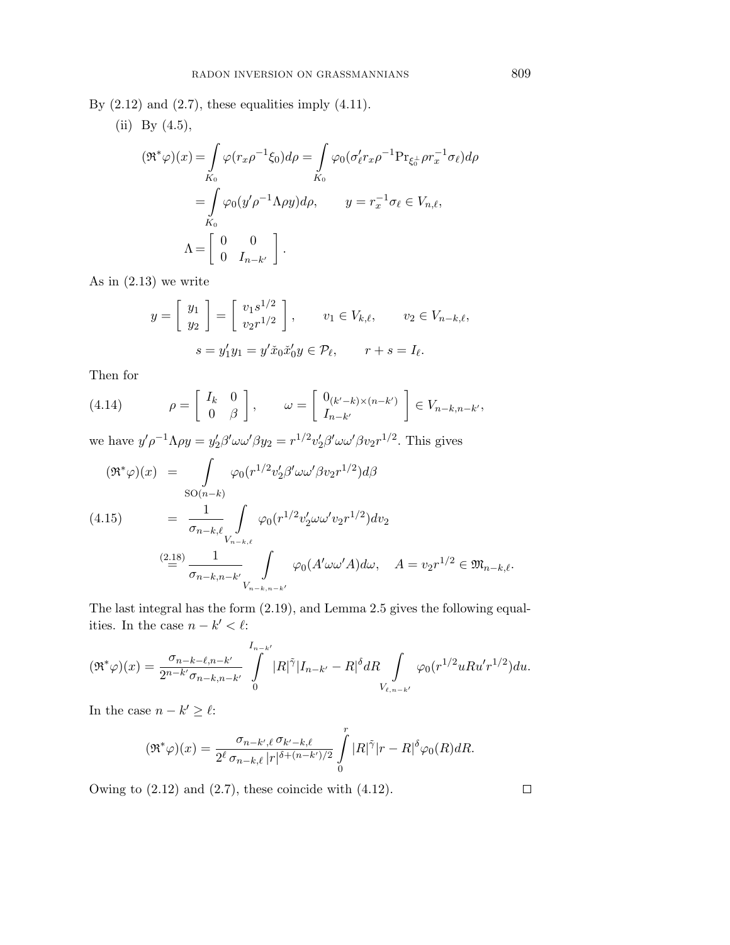By  $(2.12)$  and  $(2.7)$ , these equalities imply  $(4.11)$ .

(ii) By (4.5),  
\n
$$
(\mathfrak{R}^*\varphi)(x) = \int_{K_0} \varphi(r_x \rho^{-1} \xi_0) d\rho = \int_{K_0} \varphi_0(\sigma_\ell' r_x \rho^{-1} \Pr_{\xi_0^{\perp}} \rho r_x^{-1} \sigma_\ell) d\rho
$$
\n
$$
= \int_{K_0} \varphi_0(y' \rho^{-1} \Lambda \rho y) d\rho, \qquad y = r_x^{-1} \sigma_\ell \in V_{n,\ell},
$$
\n
$$
\Lambda = \begin{bmatrix} 0 & 0 \\ 0 & I_{n-k'} \end{bmatrix}.
$$

As in (2.13) we write

$$
y = \begin{bmatrix} y_1 \\ y_2 \end{bmatrix} = \begin{bmatrix} v_1 s^{1/2} \\ v_2 r^{1/2} \end{bmatrix}, \qquad v_1 \in V_{k,\ell}, \qquad v_2 \in V_{n-k,\ell},
$$

$$
s = y_1' y_1 = y' \tilde{x}_0 \tilde{x}_0' y \in \mathcal{P}_{\ell}, \qquad r + s = I_{\ell}.
$$

Then for

(4.14) 
$$
\rho = \begin{bmatrix} I_k & 0 \\ 0 & \beta \end{bmatrix}, \qquad \omega = \begin{bmatrix} 0_{(k'-k)\times(n-k')} \\ I_{n-k'} \end{bmatrix} \in V_{n-k,n-k'},
$$

we have  $y'\rho^{-1}\Lambda\rho y = y'_2\beta'\omega\omega'\beta y_2 = r^{1/2}v'_2\beta'\omega\omega'\beta v_2r^{1/2}$ . This gives

$$
(\mathfrak{R}^*\varphi)(x) = \int_{SO(n-k)} \varphi_0(r^{1/2}v_2'\beta'\omega\omega'\beta v_2r^{1/2})d\beta
$$
  
(4.15) 
$$
= \frac{1}{\sigma_{n-k,\ell}} \int_{V_{n-k,\ell}} \varphi_0(r^{1/2}v_2'\omega\omega'v_2r^{1/2})dv_2
$$
  

$$
= \frac{(2.18)}{\sigma_{n-k,n-k'}} \int_{V_{n-k,n-k'}} \varphi_0(A'\omega\omega'A)d\omega, \quad A = v_2r^{1/2} \in \mathfrak{M}_{n-k,\ell}.
$$

The last integral has the form (2.19), and Lemma 2.5 gives the following equalities. In the case  $n - k' < \ell$ :

$$
(\Re^*\varphi)(x) = \frac{\sigma_{n-k-\ell,n-k'}}{2^{n-k'}\sigma_{n-k,n-k'}} \int\limits_{0}^{I_{n-k'}} |R|^{\tilde{\gamma}} |I_{n-k'} - R|^{\delta} dR \int\limits_{V_{\ell,n-k'}} \varphi_0(r^{1/2} u R u' r^{1/2}) du.
$$

In the case  $n - k' \geq \ell$ :

$$
(\Re^*\varphi)(x) = \frac{\sigma_{n-k',\ell}\,\sigma_{k'-k,\ell}}{2^\ell\,\sigma_{n-k,\ell}\,|r|^{\delta + (n-k')/2}} \int\limits_0^r |R|^{\tilde{\gamma}}|r - R|^{\delta}\varphi_0(R) dR.
$$

Owing to  $(2.12)$  and  $(2.7)$ , these coincide with  $(4.12)$ .

 $\Box$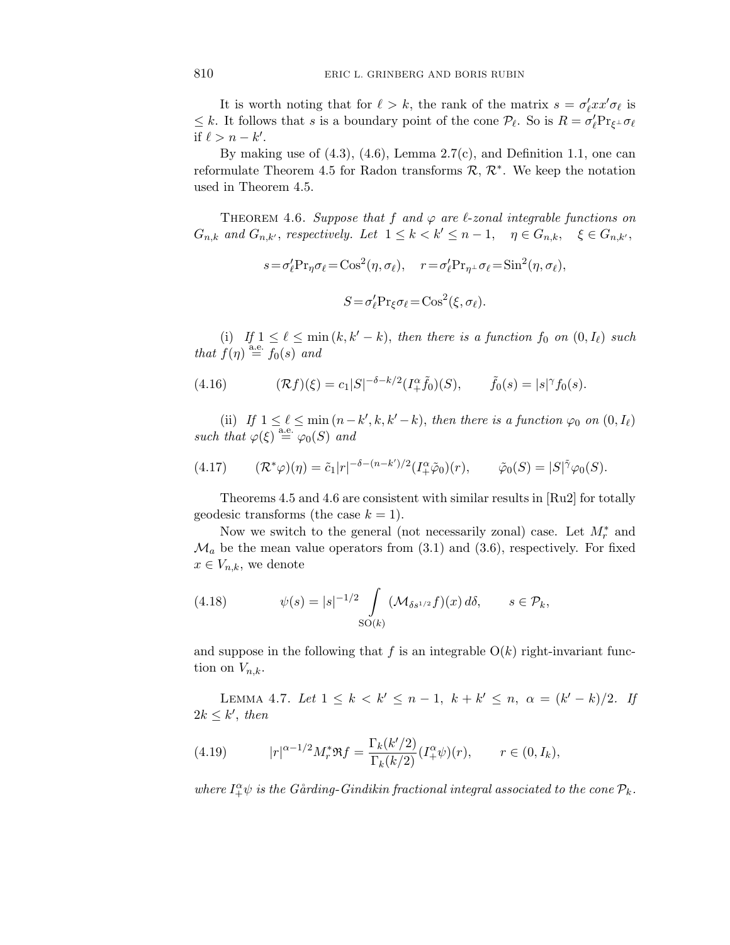It is worth noting that for  $\ell > k$ , the rank of the matrix  $s = \sigma'_\ell xx' \sigma_\ell$  is  $\leq k$ . It follows that *s* is a boundary point of the cone  $\mathcal{P}_{\ell}$ . So is  $R = \sigma_{\ell}' \Pr_{\xi^{\perp}} \sigma_{\ell}$ if  $\ell > n - k'$ .

By making use of  $(4.3)$ ,  $(4.6)$ , Lemma 2.7(c), and Definition 1.1, one can reformulate Theorem 4.5 for Radon transforms  $\mathcal{R}, \mathcal{R}^*$ . We keep the notation used in Theorem 4.5.

THEOREM 4.6. Suppose that  $f$  and  $\varphi$  are  $\ell$ -zonal integrable functions on *G*<sub>n,k</sub> and *G*<sub>n,k'</sub>, respectively. Let  $1 \leq k < k' \leq n-1$ ,  $\eta \in G_{n,k}$ ,  $\xi \in G_{n,k'}$ ,

$$
s = \sigma'_{\ell} \Pr_{\eta} \sigma_{\ell} = \cos^2(\eta, \sigma_{\ell}), \quad r = \sigma'_{\ell} \Pr_{\eta^{\perp}} \sigma_{\ell} = \sin^2(\eta, \sigma_{\ell}),
$$

$$
S = \sigma'_{\ell} \Pr_{\xi} \sigma_{\ell} = \cos^2(\xi, \sigma_{\ell}).
$$

(i) If  $1 \leq \ell \leq \min(k, k' - k)$ , then there is a function  $f_0$  on  $(0, I_\ell)$  such that  $f(\eta) \stackrel{\text{a.e.}}{=} f_0(s)$  and

(4.16) 
$$
(\mathcal{R}f)(\xi) = c_1|S|^{-\delta - k/2}(I^{\alpha}_{+}\tilde{f}_0)(S), \qquad \tilde{f}_0(s) = |s|^{\gamma} f_0(s).
$$

(ii) If  $1 \leq \ell \leq \min(n-k',k,k'-k)$ , then there is a function  $\varphi_0$  on  $(0, I_\ell)$  $such that \varphi(\xi) \stackrel{\text{a.e.}}{=} \varphi_0(S)$  and

(4.17) 
$$
(\mathcal{R}^*\varphi)(\eta) = \tilde{c}_1|r|^{-\delta - (n-k')/2}(I^{\alpha}_+\tilde{\varphi}_0)(r), \qquad \tilde{\varphi}_0(S) = |S|^{\tilde{\gamma}}\varphi_0(S).
$$

Theorems 4.5 and 4.6 are consistent with similar results in [Ru2] for totally geodesic transforms (the case  $k = 1$ ).

Now we switch to the general (not necessarily zonal) case. Let  $M_r^*$  and  $\mathcal{M}_a$  be the mean value operators from (3.1) and (3.6), respectively. For fixed  $x \in V_{n,k}$ , we denote

(4.18) 
$$
\psi(s) = |s|^{-1/2} \int_{SO(k)} (\mathcal{M}_{\delta s^{1/2}} f)(x) d\delta, \qquad s \in \mathcal{P}_k,
$$

and suppose in the following that  $f$  is an integrable  $O(k)$  right-invariant function on  $V_{n,k}$ .

LEMMA 4.7. Let  $1 \leq k < k' \leq n-1$ ,  $k + k' \leq n$ ,  $\alpha = (k' - k)/2$ . If  $2k \leq k'$ , then

(4.19) 
$$
|r|^{\alpha - 1/2} M_r^* \Re f = \frac{\Gamma_k(k'/2)}{\Gamma_k(k/2)} (I_+^{\alpha} \psi)(r), \qquad r \in (0, I_k),
$$

where  $I^{\alpha}_{+}\psi$  is the Gårding-Gindikin fractional integral associated to the cone  $\mathcal{P}_k$ .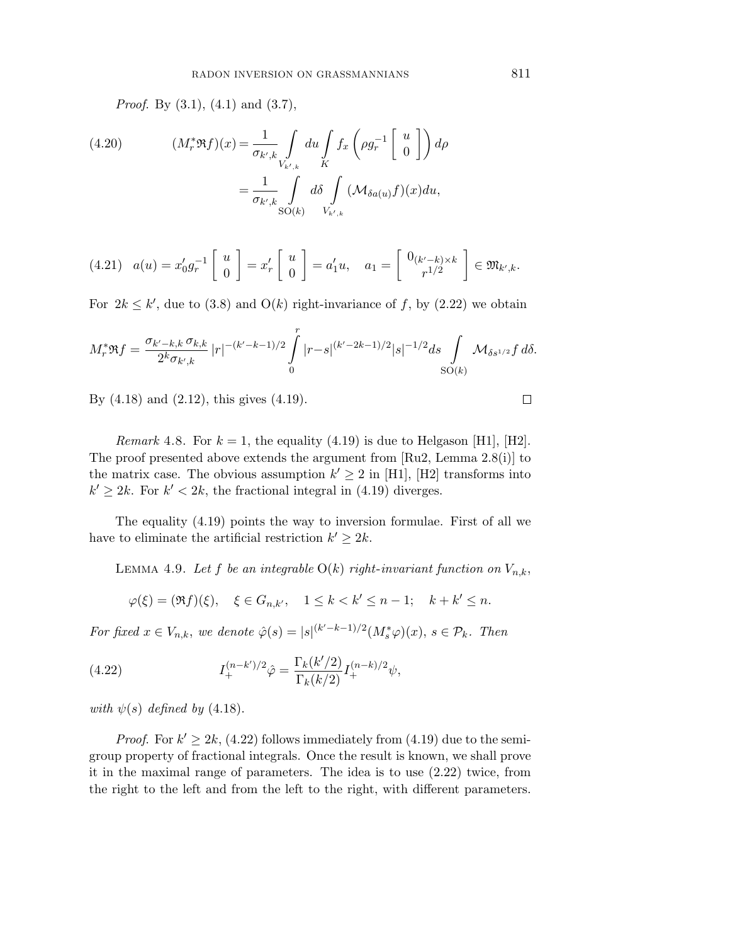*Proof.* By  $(3.1)$ ,  $(4.1)$  and  $(3.7)$ ,

(4.20) 
$$
(M_r^* \mathfrak{R} f)(x) = \frac{1}{\sigma_{k',k}} \int_{V_{k',k}} du \int_K f_x \left( \rho g_r^{-1} \begin{bmatrix} u \\ 0 \end{bmatrix} \right) d\rho
$$

$$
= \frac{1}{\sigma_{k',k}} \int_{SO(k)} d\delta \int_{V_{k',k}} (\mathcal{M}_{\delta a(u)} f)(x) du,
$$

$$
(4.21) \quad a(u) = x'_0 g_r^{-1} \left[ \begin{array}{c} u \\ 0 \end{array} \right] = x'_r \left[ \begin{array}{c} u \\ 0 \end{array} \right] = a'_1 u, \quad a_1 = \left[ \begin{array}{c} 0_{(k'-k)\times k} \\ r^{1/2} \end{array} \right] \in \mathfrak{M}_{k',k}.
$$

For  $2k \leq k'$ , due to (3.8) and O(k) right-invariance of f, by (2.22) we obtain

$$
M_r^* \Re f = \frac{\sigma_{k'-k,k} \sigma_{k,k}}{2^k \sigma_{k',k}} |r|^{-(k'-k-1)/2} \int\limits_0^r |r-s|^{(k'-2k-1)/2} |s|^{-1/2} ds \int\limits_{\text{SO}(k)} \mathcal{M}_{\delta s^{1/2}} f \, d\delta.
$$

By (4.18) and (2.12), this gives (4.19).

*Remark* 4.8. For  $k = 1$ , the equality (4.19) is due to Helgason [H1], [H2]. The proof presented above extends the argument from [Ru2, Lemma 2.8(i)] to the matrix case. The obvious assumption  $k' \geq 2$  in [H1], [H2] transforms into  $k' \geq 2k$ . For  $k' < 2k$ , the fractional integral in (4.19) diverges.

The equality (4.19) points the way to inversion formulae. First of all we have to eliminate the artificial restriction  $k' \geq 2k$ .

LEMMA 4.9. Let *f* be an integrable  $O(k)$  right-invariant function on  $V_{n,k}$ ,

$$
\varphi(\xi) = (\Re f)(\xi), \quad \xi \in G_{n,k'}, \quad 1 \le k < k' \le n-1; \quad k + k' \le n.
$$

For fixed  $x \in V_{n,k}$ , we denote  $\hat{\varphi}(s) = |s|^{(k'-k-1)/2} (M_s^*\varphi)(x), s \in \mathcal{P}_k$ . Then

(4.22) 
$$
I_{+}^{(n-k')/2} \hat{\varphi} = \frac{\Gamma_{k}(k'/2)}{\Gamma_{k}(k/2)} I_{+}^{(n-k)/2} \psi,
$$

with  $\psi(s)$  defined by (4.18).

*Proof.* For  $k' \geq 2k$ , (4.22) follows immediately from (4.19) due to the semigroup property of fractional integrals. Once the result is known, we shall prove it in the maximal range of parameters. The idea is to use (2.22) twice, from the right to the left and from the left to the right, with different parameters.

 $\Box$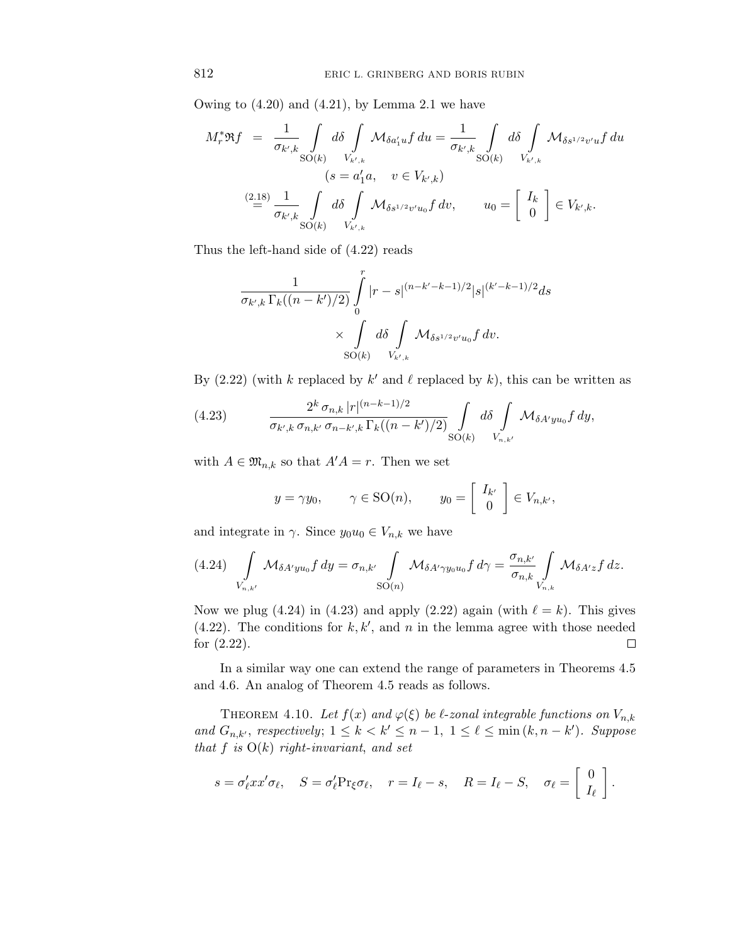Owing to (4.20) and (4.21), by Lemma 2.1 we have

$$
M_r^* \mathfrak{R} f = \frac{1}{\sigma_{k',k}} \int_{SO(k)} d\delta \int_{V_{k',k}} \mathcal{M}_{\delta a'_1 u} f du = \frac{1}{\sigma_{k',k}} \int_{SO(k)} d\delta \int_{V_{k',k}} \mathcal{M}_{\delta s^{1/2} v' u} f du
$$
  
\n
$$
(s = a'_1 a, \quad v \in V_{k',k})
$$
  
\n
$$
\stackrel{(2.18)}{=} \frac{1}{\sigma_{k',k}} \int_{SO(k)} d\delta \int_{V_{k',k}} \mathcal{M}_{\delta s^{1/2} v' u_0} f dv, \qquad u_0 = \begin{bmatrix} I_k \\ 0 \end{bmatrix} \in V_{k',k}.
$$

Thus the left-hand side of (4.22) reads

$$
\frac{1}{\sigma_{k',k}\,\Gamma_k((n-k')/2)}\int\limits_0^r |r-s|^{(n-k'-k-1)/2}|s|^{(k'-k-1)/2}ds\\ \times \int\limits_{\mathrm{SO}(k)} d\delta \int\limits_{V_{k',k}} \mathcal{M}_{\delta s^{1/2}v'u_0} f\, dv.
$$

By (2.22) (with *k* replaced by  $k'$  and  $\ell$  replaced by  $k$ ), this can be written as

(4.23) 
$$
\frac{2^k \sigma_{n,k} |r|^{(n-k-1)/2}}{\sigma_{k',k} \sigma_{n,k'} \sigma_{n-k',k} \Gamma_k((n-k')/2)} \int_{\text{SO}(k)} d\delta \int_{V_{n,k'}} \mathcal{M}_{\delta A' y u_0} f dy,
$$

with  $A \in \mathfrak{M}_{n,k}$  so that  $A'A = r$ . Then we set

$$
y = \gamma y_0,
$$
  $\gamma \in SO(n),$   $y_0 = \begin{bmatrix} I_{k'} \\ 0 \end{bmatrix} \in V_{n,k'},$ 

and integrate in  $\gamma$ . Since  $y_0u_0 \in V_{n,k}$  we have

$$
(4.24)\int\limits_{V_{n,k'}}\mathcal{M}_{\delta A' y u_0}f\,dy = \sigma_{n,k'}\int\limits_{\mathrm{SO}(n)}\mathcal{M}_{\delta A' \gamma y_0 u_0}f\,d\gamma = \frac{\sigma_{n,k'}}{\sigma_{n,k}}\int\limits_{V_{n,k}}\mathcal{M}_{\delta A' z}f\,dz.
$$

Now we plug (4.24) in (4.23) and apply (2.22) again (with  $\ell = k$ ). This gives  $(4.22)$ . The conditions for  $k, k'$ , and  $n$  in the lemma agree with those needed for (2.22).  $\Box$ 

In a similar way one can extend the range of parameters in Theorems 4.5 and 4.6. An analog of Theorem 4.5 reads as follows.

THEOREM 4.10. Let  $f(x)$  and  $\varphi(\xi)$  be  $\ell$ -zonal integrable functions on  $V_{n,k}$ and  $G_{n,k'}$ , respectively;  $1 \leq k < k' \leq n-1$ ,  $1 \leq \ell \leq \min(k, n-k')$ . Suppose that  $f$  is  $O(k)$  right-invariant, and set

$$
s = \sigma_{\ell}^{\prime} x x^{\prime} \sigma_{\ell}, \quad S = \sigma_{\ell}^{\prime} \Pr_{\xi} \sigma_{\ell}, \quad r = I_{\ell} - s, \quad R = I_{\ell} - S, \quad \sigma_{\ell} = \left[ \begin{array}{c} 0 \\ I_{\ell} \end{array} \right].
$$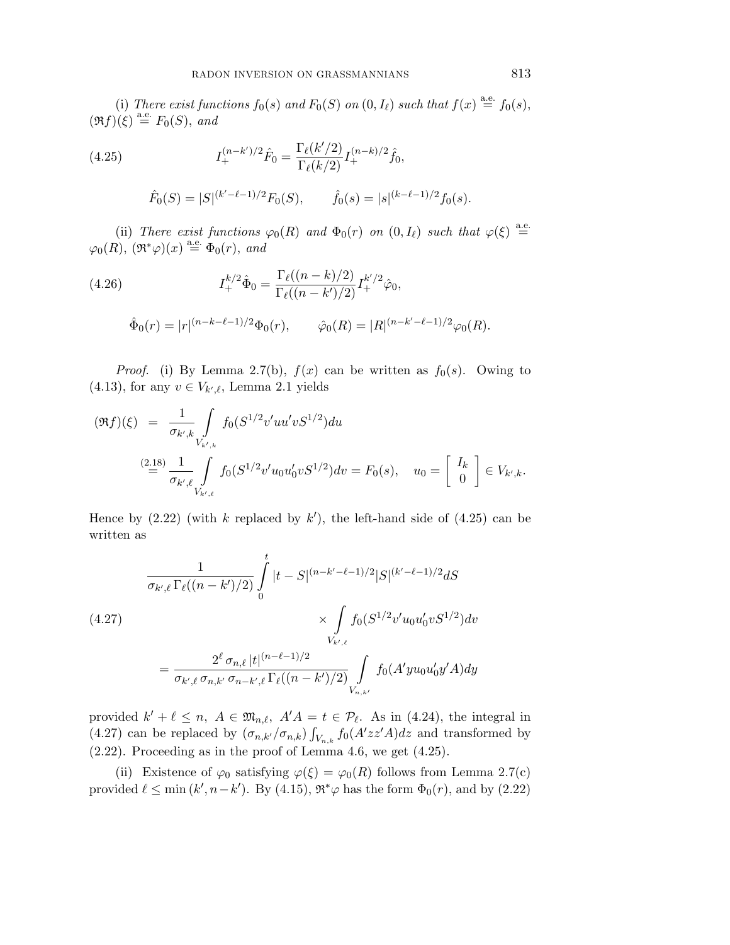(i) There exist functions  $f_0(s)$  and  $F_0(S)$  on  $(0, I_\ell)$  such that  $f(x) \stackrel{\text{a.e.}}{=} f_0(s)$ ,  $(\Re f)(\xi) \stackrel{\text{a.e.}}{=} F_0(S)$ , and

(4.25) 
$$
I_{+}^{(n-k')/2} \hat{F}_{0} = \frac{\Gamma_{\ell}(k'/2)}{\Gamma_{\ell}(k/2)} I_{+}^{(n-k)/2} \hat{f}_{0},
$$

$$
\hat{F}_0(S) = |S|^{(k'-\ell-1)/2} F_0(S), \qquad \hat{f}_0(s) = |s|^{(k-\ell-1)/2} f_0(s).
$$

(ii) There exist functions  $\varphi_0(R)$  and  $\Phi_0(r)$  on  $(0, I_\ell)$  such that  $\varphi(\xi) \stackrel{\text{a.e.}}{=}$  $\varphi_0(R)$ ,  $(\Re^*\varphi)(x) \stackrel{\text{a.e.}}{=} \Phi_0(r)$ , and

(4.26)  
\n
$$
I_{+}^{k/2} \hat{\Phi}_{0} = \frac{\Gamma_{\ell}((n-k)/2)}{\Gamma_{\ell}((n-k')/2)} I_{+}^{k'/2} \hat{\varphi}_{0},
$$
\n
$$
\hat{\Phi}_{0}(r) = |r|^{(n-k-\ell-1)/2} \Phi_{0}(r), \qquad \hat{\varphi}_{0}(R) = |R|^{(n-k'-\ell-1)/2} \varphi_{0}(R).
$$

*Proof.* (i) By Lemma 2.7(b),  $f(x)$  can be written as  $f_0(s)$ . Owing to  $(4.13)$ , for any  $v \in V_{k',\ell}$ , Lemma 2.1 yields

$$
(\Re f)(\xi) = \frac{1}{\sigma_{k',k}} \int_{V_{k',k}} f_0(S^{1/2}v'uu'vS^{1/2})du
$$
  

$$
\stackrel{(2.18)}{=} \frac{1}{\sigma_{k',\ell}} \int_{V_{k',\ell}} f_0(S^{1/2}v'u_0u'_0vS^{1/2})dv = F_0(s), \quad u_0 = \begin{bmatrix} I_k \\ 0 \end{bmatrix} \in V_{k',k}.
$$

Hence by  $(2.22)$  (with *k* replaced by  $k'$ ), the left-hand side of  $(4.25)$  can be written as

$$
\frac{1}{\sigma_{k',\ell} \Gamma_{\ell}((n-k')/2)} \int_{0}^{t} |t - S|^{(n-k'-\ell-1)/2} |S|^{(k'-\ell-1)/2} dS
$$
\n
$$
(4.27)
$$
\n
$$
\times \int_{V_{k',\ell}} f_0(S^{1/2}v' u_0 u'_0 v S^{1/2}) dv
$$
\n
$$
= \frac{2^{\ell} \sigma_{n,\ell} |t|^{(n-\ell-1)/2}}{\sigma_{k',\ell} \sigma_{n,k'} \sigma_{n-k',\ell} \Gamma_{\ell}((n-k')/2)} \int_{V_{n,k'}} f_0(A' y u_0 u'_0 y' A) dy
$$

provided  $k' + \ell \leq n$ ,  $A \in \mathfrak{M}_{n,\ell}$ ,  $A'A = t \in \mathcal{P}_\ell$ . As in (4.24), the integral in (4.27) can be replaced by  $(\sigma_{n,k'}/\sigma_{n,k}) \int_{V_{n,k}} f_0(A'zz'A)dz$  and transformed by (2.22). Proceeding as in the proof of Lemma 4.6, we get (4.25).

(ii) Existence of  $\varphi_0$  satisfying  $\varphi(\xi) = \varphi_0(R)$  follows from Lemma 2.7(c) provided  $\ell \le \min(k', n-k')$ . By (4.15),  $\mathfrak{R}^*\varphi$  has the form  $\Phi_0(r)$ , and by (2.22)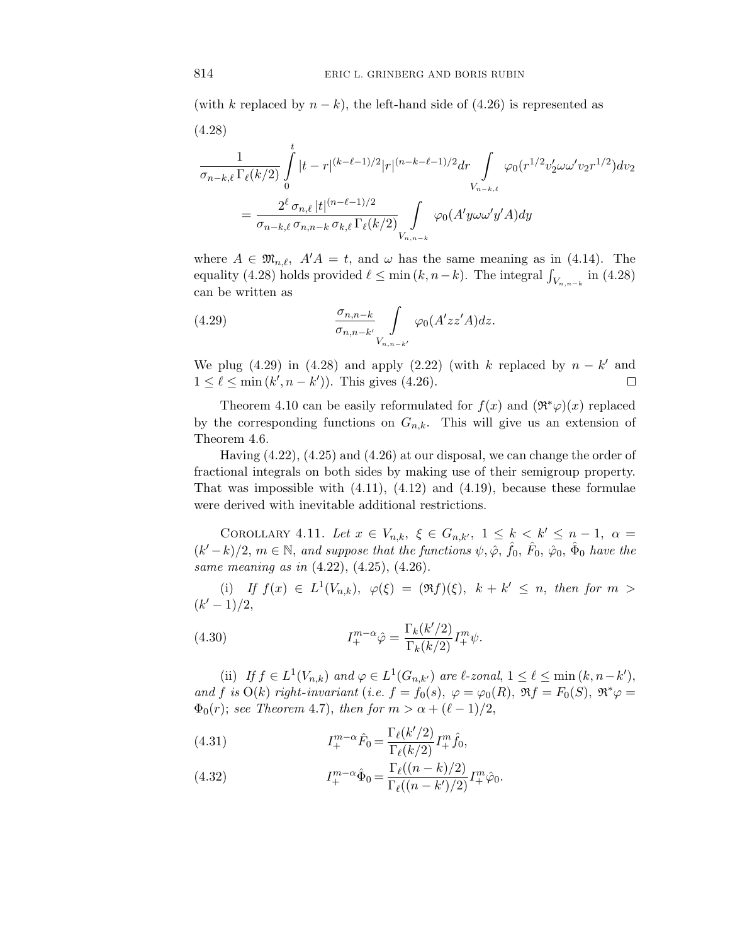(with *k* replaced by  $n - k$ ), the left-hand side of (4.26) is represented as

(4.28)  
\n
$$
\frac{1}{\sigma_{n-k,\ell}} \frac{1}{\Gamma_{\ell}(k/2)} \int_{0}^{t} |t-r|^{(k-\ell-1)/2} |r|^{(n-k-\ell-1)/2} dr \int_{V_{n-k,\ell}} \varphi_{0}(r^{1/2} v_{2}' \omega \omega' v_{2} r^{1/2}) dv_{2}
$$
\n
$$
= \frac{2^{\ell} \sigma_{n,\ell} |t|^{(n-\ell-1)/2}}{\sigma_{n-k,\ell} \sigma_{n,n-k} \sigma_{k,\ell} \Gamma_{\ell}(k/2)} \int_{V_{n,n-k}} \varphi_{0}(A' y \omega \omega' y' A) dy
$$

where  $A \in \mathfrak{M}_{n,\ell}$ ,  $A'A = t$ , and  $\omega$  has the same meaning as in (4.14). The equality (4.28) holds provided  $\ell \leq \min(k, n-k)$ . The integral  $\int_{V_{n,n-k}}$  in (4.28) can be written as

(4.29) 
$$
\frac{\sigma_{n,n-k}}{\sigma_{n,n-k'}} \int\limits_{V_{n,n-k'}} \varphi_0(A'zz'A)dz.
$$

We plug (4.29) in (4.28) and apply (2.22) (with  $k$  replaced by  $n - k'$  and  $1 \leq \ell \leq \min(k', n - k')$ ). This gives (4.26).  $\Box$ 

Theorem 4.10 can be easily reformulated for  $f(x)$  and  $(\Re^*\varphi)(x)$  replaced by the corresponding functions on  $G_{n,k}$ . This will give us an extension of Theorem 4.6.

Having (4.22), (4.25) and (4.26) at our disposal, we can change the order of fractional integrals on both sides by making use of their semigroup property. That was impossible with  $(4.11)$ ,  $(4.12)$  and  $(4.19)$ , because these formulae were derived with inevitable additional restrictions.

COROLLARY 4.11. Let  $x \in V_{n,k}$ ,  $\xi \in G_{n,k'}$ ,  $1 \leq k \leq k' \leq n-1$ ,  $\alpha =$  $(k'-k)/2$ ,  $m \in \mathbb{N}$ , and suppose that the functions  $\psi$ ,  $\hat{\varphi}$ ,  $\hat{f}_0$ ,  $\hat{F}_0$ ,  $\hat{\varphi}_0$ ,  $\hat{\Phi}_0$  have the same meaning as in (4.22), (4.25), (4.26).

(i) If  $f(x) \in L^1(V_{n,k}), \varphi(\xi) = (\Re f)(\xi), k + k' \leq n, \text{ then for } m >$  $(k' - 1)/2$ 

(4.30) 
$$
I^{m-\alpha}_{+} \hat{\varphi} = \frac{\Gamma_k(k'/2)}{\Gamma_k(k/2)} I^m_+ \psi.
$$

(ii) If  $f \in L^1(V_{n,k})$  and  $\varphi \in L^1(G_{n,k'})$  are  $\ell$ -zonal,  $1 \leq \ell \leq \min(k, n-k')$ , and *f* is  $O(k)$  right-invariant (i.e.  $f = f_0(s)$ ,  $\varphi = \varphi_0(R)$ ,  $\Re f = F_0(S)$ ,  $\Re^* \varphi =$  $\Phi_0(r)$ ; see Theorem 4.7), then for  $m > \alpha + (\ell - 1)/2$ ,

(4.31) 
$$
I^{m-\alpha}_{+} \hat{F}_0 = \frac{\Gamma_{\ell}(k'/2)}{\Gamma_{\ell}(k/2)} I^m_{+} \hat{f}_0,
$$

(4.32) 
$$
I^{m-\alpha}_{+} \hat{\Phi}_0 = \frac{\Gamma_{\ell}((n-k)/2)}{\Gamma_{\ell}((n-k')/2)} I^{m}_{+} \hat{\varphi}_0.
$$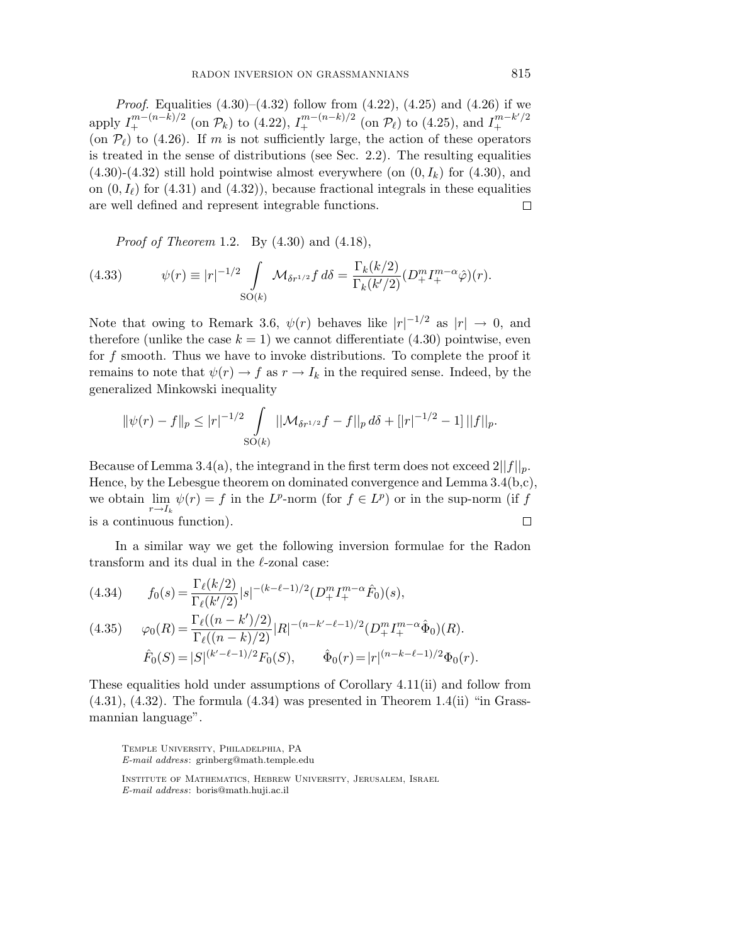*Proof.* Equalities  $(4.30)$ – $(4.32)$  follow from  $(4.22)$ ,  $(4.25)$  and  $(4.26)$  if we apply  $I^{m-(n-k)/2}_+$  (on  $\mathcal{P}_k$ ) to (4.22),  $I^{m-(n-k)/2}_+$  (on  $\mathcal{P}_\ell$ ) to (4.25), and  $I^{m-k'/2}_+$ + (on  $\mathcal{P}_{\ell}$ ) to (4.26). If *m* is not sufficiently large, the action of these operators is treated in the sense of distributions (see Sec. 2.2). The resulting equalities  $(4.30)-(4.32)$  still hold pointwise almost everywhere (on  $(0, I_k)$  for  $(4.30)$ , and on  $(0, I_\ell)$  for  $(4.31)$  and  $(4.32)$ , because fractional integrals in these equalities are well defined and represent integrable functions.  $\Box$ 

*Proof of Theorem* 1.2. By  $(4.30)$  and  $(4.18)$ ,

(4.33) 
$$
\psi(r) \equiv |r|^{-1/2} \int_{SO(k)} \mathcal{M}_{\delta r^{1/2}} f \, d\delta = \frac{\Gamma_k(k/2)}{\Gamma_k(k'/2)} (D_+^m I_+^{m-\alpha} \hat{\varphi})(r).
$$

Note that owing to Remark 3.6,  $\psi(r)$  behaves like  $|r|^{-1/2}$  as  $|r| \to 0$ , and therefore (unlike the case  $k = 1$ ) we cannot differentiate (4.30) pointwise, even for *f* smooth. Thus we have to invoke distributions. To complete the proof it remains to note that  $\psi(r) \to f$  as  $r \to I_k$  in the required sense. Indeed, by the generalized Minkowski inequality

$$
\|\psi(r)-f\|_{p} \leq |r|^{-1/2} \int\limits_{\mathrm{SO}(k)} ||\mathcal{M}_{\delta r^{1/2}}f - f||_{p} d\delta + [|r|^{-1/2} - 1] \,||f||_{p}.
$$

Because of Lemma 3.4(a), the integrand in the first term does not exceed  $2||f||_p$ . Hence, by the Lebesgue theorem on dominated convergence and Lemma 3.4(b,c), we obtain  $\lim_{r \to I_k} \psi(r) = f$  in the *L*<sup>p</sup>-norm (for  $f \in L^p$ ) or in the sup-norm (if *f* is a continuous function).  $\Box$ 

In a similar way we get the following inversion formulae for the Radon transform and its dual in the -zonal case:

(4.34) 
$$
f_0(s) = \frac{\Gamma_{\ell}(k/2)}{\Gamma_{\ell}(k/2)} |s|^{-(k-\ell-1)/2} (D_+^m I_+^{m-\alpha} \hat{F}_0)(s),
$$

(4.35) 
$$
\varphi_0(R) = \frac{\Gamma_{\ell}((n-k')/2)}{\Gamma_{\ell}((n-k)/2)} |R|^{-(n-k'-\ell-1)/2} (D_+^m I_+^{m-\alpha} \hat{\Phi}_0)(R).
$$

$$
\hat{F}_0(S) = |S|^{(k'-\ell-1)/2} F_0(S), \qquad \hat{\Phi}_0(r) = |r|^{(n-k-\ell-1)/2} \Phi_0(r).
$$

These equalities hold under assumptions of Corollary 4.11(ii) and follow from  $(4.31)$ ,  $(4.32)$ . The formula  $(4.34)$  was presented in Theorem 1.4(ii) "in Grassmannian language".

Temple University, Philadelphia, PA *E-mail address*: grinberg@math.temple.edu

Institute of Mathematics, Hebrew University, Jerusalem, Israel *E-mail address*: boris@math.huji.ac.il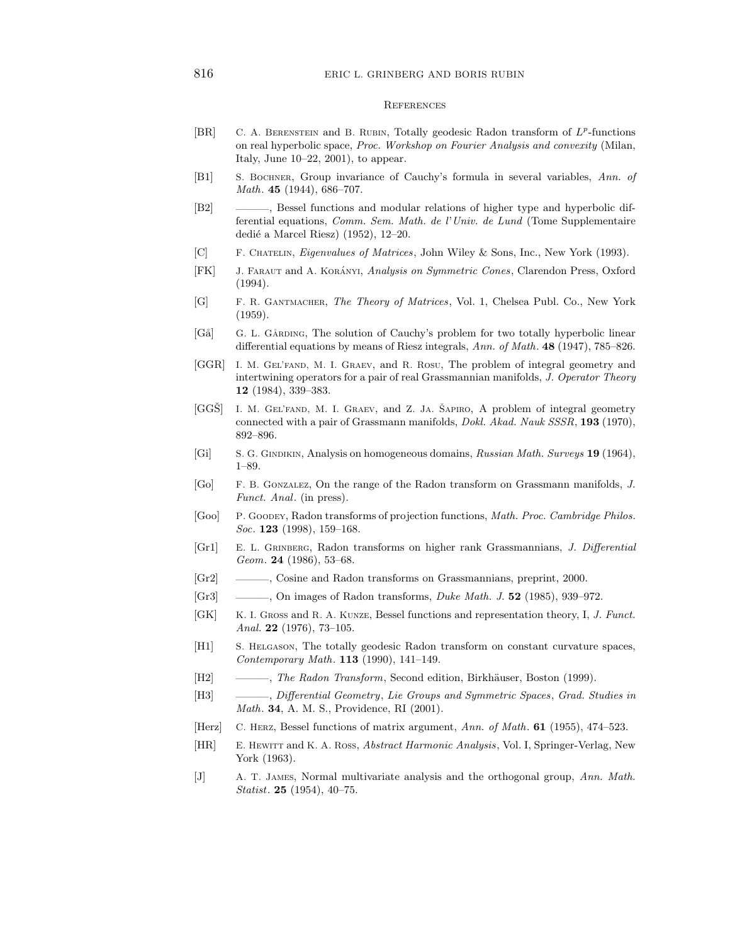## 816 ERIC L. GRINBERG AND BORIS RUBIN

## **REFERENCES**

- [BR] C. A. Berenstein and B. Rubin, Totally geodesic Radon transform of *L<sup>p</sup>*-functions on real hyperbolic space, *Proc. Workshop on Fourier Analysis and convexity* (Milan, Italy, June 10–22, 2001), to appear.
- [B1] S. Bochner, Group invariance of Cauchy's formula in several variables, *Ann. of Math*. **45** (1944), 686–707.
- [B2] ———, Bessel functions and modular relations of higher type and hyperbolic differential equations, *Comm. Sem. Math. de l*'*Univ. de Lund* (Tome Supplementaire dedié a Marcel Riesz) (1952), 12-20.
- [C] F. Chatelin, *Eigenvalues of Matrices*, John Wiley & Sons, Inc., New York (1993).
- [FK] J. FARAUT and A. KORÁNYI, *Analysis on Symmetric Cones*, Clarendon Press, Oxford (1994).
- [G] F. R. Gantmacher, *The Theory of Matrices*, Vol. 1, Chelsea Publ. Co., New York (1959).
- [Gå] G. L. GÅRDING, The solution of Cauchy's problem for two totally hyperbolic linear differential equations by means of Riesz integrals, *Ann. of Math*. **48** (1947), 785–826.
- [GGR] I. M. Gel'fand, M. I. Graev, and R. Rosu, The problem of integral geometry and intertwining operators for a pair of real Grassmannian manifolds, *J. Operator Theory* **12** (1984), 339–383.
- [GGS] I. M. GEL'FAND, M. I. GRAEV, and Z. JA. SAPIRO, A problem of integral geometry connected with a pair of Grassmann manifolds, *Dokl. Akad. Nauk SSSR*, **193** (1970), 892–896.
- [Gi] S. G. GINDIKIN, Analysis on homogeneous domains, *Russian Math. Surveys* **19** (1964), 1–89.
- [Go] F. B. Gonzalez, On the range of the Radon transform on Grassmann manifolds, *J. Funct. Anal*. (in press).
- [Goo] P. Goodey, Radon transforms of projection functions, *Math. Proc. Cambridge Philos. Soc*. **123** (1998), 159–168.
- [Gr1] E. L. Grinberg, Radon transforms on higher rank Grassmannians, *J. Differential Geom*. **24** (1986), 53–68.
- [Gr2] ———, Cosine and Radon transforms on Grassmannians, preprint, 2000.
- [Gr3] ———, On images of Radon transforms, *Duke Math. J*. **52** (1985), 939–972.
- [GK] K. I. Gross and R. A. Kunze, Bessel functions and representation theory, I, *J. Funct. Anal.* **22** (1976), 73–105.
- [H1] S. Helgason, The totally geodesic Radon transform on constant curvature spaces, *Contemporary Math*. **113** (1990), 141–149.
- [H2] ———, *The Radon Transform*, Second edition, Birkhäuser, Boston (1999).
- [H3] ———, *Differential Geometry*, *Lie Groups and Symmetric Spaces*, *Grad. Studies in Math*. **34**, A. M. S., Providence, RI (2001).
- [Herz] C. Herz, Bessel functions of matrix argument, *Ann. of Math*. **61** (1955), 474–523.
- [HR] E. Hewitt and K. A. Ross, *Abstract Harmonic Analysis*, Vol. I, Springer-Verlag, New York (1963).
- [J] A. T. James, Normal multivariate analysis and the orthogonal group, *Ann. Math. Statist*. **25** (1954), 40–75.